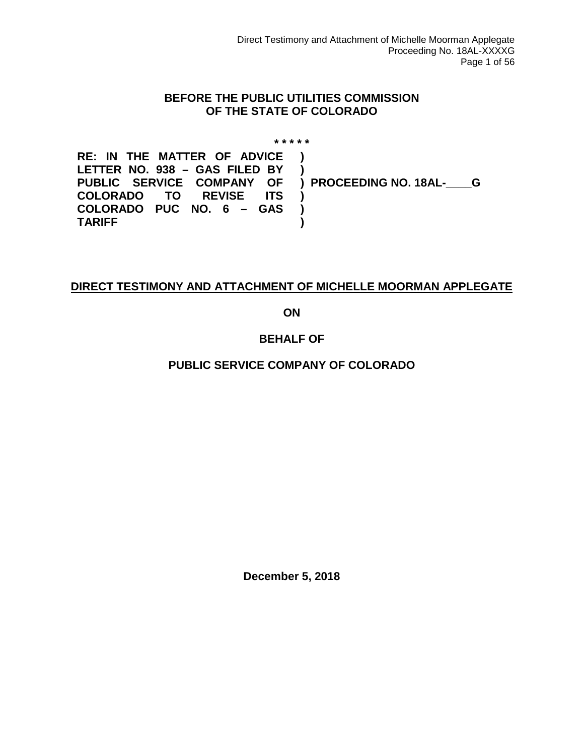#### **BEFORE THE PUBLIC UTILITIES COMMISSION OF THE STATE OF COLORADO**

**\* \* \* \* \* RE: IN THE MATTER OF ADVICE LETTER NO. 938 – GAS FILED BY PUBLIC SERVICE COMPANY OF COLORADO TO REVISE COLORADO PUC NO. 6 – GAS TARIFF ) ) ) PROCEEDING NO. 18AL-\_\_\_\_G ) ) )**

#### **DIRECT TESTIMONY AND ATTACHMENT OF MICHELLE MOORMAN APPLEGATE**

**ON**

#### **BEHALF OF**

#### **PUBLIC SERVICE COMPANY OF COLORADO**

**December 5, 2018**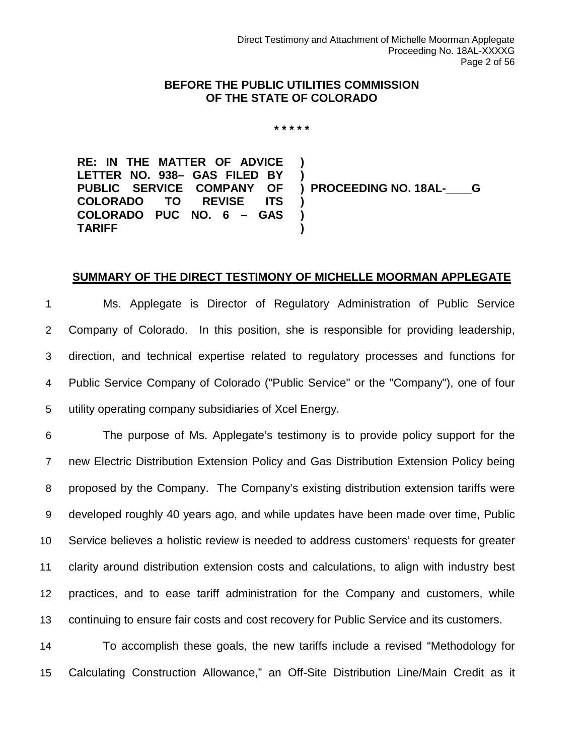#### **BEFORE THE PUBLIC UTILITIES COMMISSION OF THE STATE OF COLORADO**

**\* \* \* \* \***

**RE: IN THE MATTER OF ADVICE LETTER NO. 938– GAS FILED BY PUBLIC SERVICE COMPANY OF COLORADO TO REVISE ITS COLORADO PUC NO. 6 – GAS TARIFF ) ) ) PROCEEDING NO. 18AL-\_\_\_\_G ) ) )**

#### **SUMMARY OF THE DIRECT TESTIMONY OF MICHELLE MOORMAN APPLEGATE**

 Ms. Applegate is Director of Regulatory Administration of Public Service Company of Colorado. In this position, she is responsible for providing leadership, direction, and technical expertise related to regulatory processes and functions for Public Service Company of Colorado ("Public Service" or the "Company"), one of four utility operating company subsidiaries of Xcel Energy.

 The purpose of Ms. Applegate's testimony is to provide policy support for the new Electric Distribution Extension Policy and Gas Distribution Extension Policy being proposed by the Company. The Company's existing distribution extension tariffs were developed roughly 40 years ago, and while updates have been made over time, Public Service believes a holistic review is needed to address customers' requests for greater clarity around distribution extension costs and calculations, to align with industry best practices, and to ease tariff administration for the Company and customers, while continuing to ensure fair costs and cost recovery for Public Service and its customers.

14 To accomplish these goals, the new tariffs include a revised "Methodology for 15 Calculating Construction Allowance," an Off-Site Distribution Line/Main Credit as it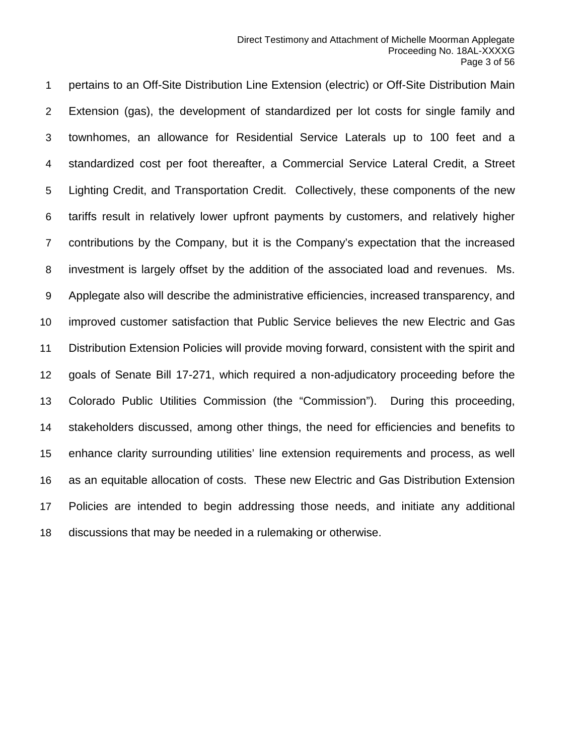pertains to an Off-Site Distribution Line Extension (electric) or Off-Site Distribution Main Extension (gas), the development of standardized per lot costs for single family and townhomes, an allowance for Residential Service Laterals up to 100 feet and a standardized cost per foot thereafter, a Commercial Service Lateral Credit, a Street Lighting Credit, and Transportation Credit. Collectively, these components of the new tariffs result in relatively lower upfront payments by customers, and relatively higher contributions by the Company, but it is the Company's expectation that the increased investment is largely offset by the addition of the associated load and revenues. Ms. Applegate also will describe the administrative efficiencies, increased transparency, and improved customer satisfaction that Public Service believes the new Electric and Gas Distribution Extension Policies will provide moving forward, consistent with the spirit and goals of Senate Bill 17-271, which required a non-adjudicatory proceeding before the Colorado Public Utilities Commission (the "Commission"). During this proceeding, stakeholders discussed, among other things, the need for efficiencies and benefits to enhance clarity surrounding utilities' line extension requirements and process, as well as an equitable allocation of costs. These new Electric and Gas Distribution Extension Policies are intended to begin addressing those needs, and initiate any additional discussions that may be needed in a rulemaking or otherwise.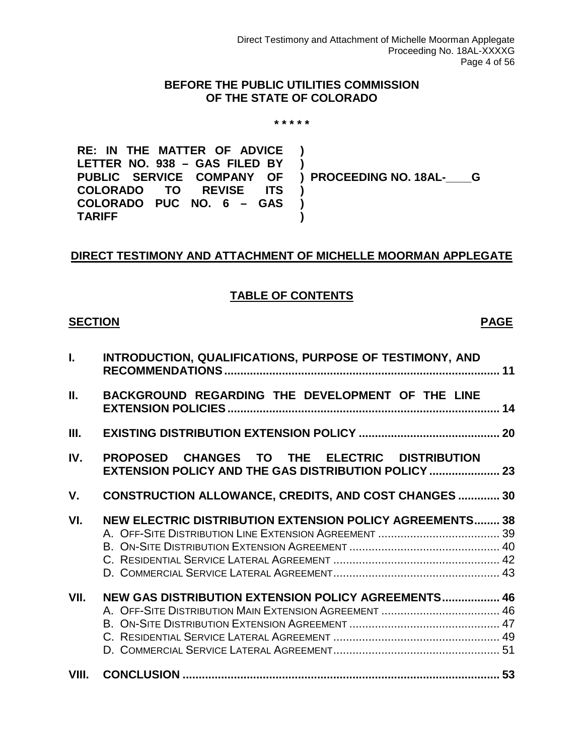#### **BEFORE THE PUBLIC UTILITIES COMMISSION OF THE STATE OF COLORADO**

#### **\* \* \* \* \***

**RE: IN THE MATTER OF ADVICE LETTER NO. 938 – GAS FILED BY PUBLIC SERVICE COMPANY OF COLORADO COLORADO PUC NO. 6 – GAS TARIFF ) ) ) PROCEEDING NO. 18AL-\_\_\_\_G ) ) )**

#### **DIRECT TESTIMONY AND ATTACHMENT OF MICHELLE MOORMAN APPLEGATE**

#### **TABLE OF CONTENTS**

#### **SECTION PAGE**

| $\mathbf{L}$ | INTRODUCTION, QUALIFICATIONS, PURPOSE OF TESTIMONY, AND                                               |  |
|--------------|-------------------------------------------------------------------------------------------------------|--|
| Ш.           | BACKGROUND REGARDING THE DEVELOPMENT OF THE LINE                                                      |  |
| Ш.           |                                                                                                       |  |
| IV.          | PROPOSED CHANGES TO THE ELECTRIC DISTRIBUTION<br>EXTENSION POLICY AND THE GAS DISTRIBUTION POLICY  23 |  |
| V.           | <b>CONSTRUCTION ALLOWANCE, CREDITS, AND COST CHANGES  30</b>                                          |  |
| VI.          | <b>NEW ELECTRIC DISTRIBUTION EXTENSION POLICY AGREEMENTS 38</b>                                       |  |
| VII.         | NEW GAS DISTRIBUTION EXTENSION POLICY AGREEMENTS 46                                                   |  |
| VIII.        |                                                                                                       |  |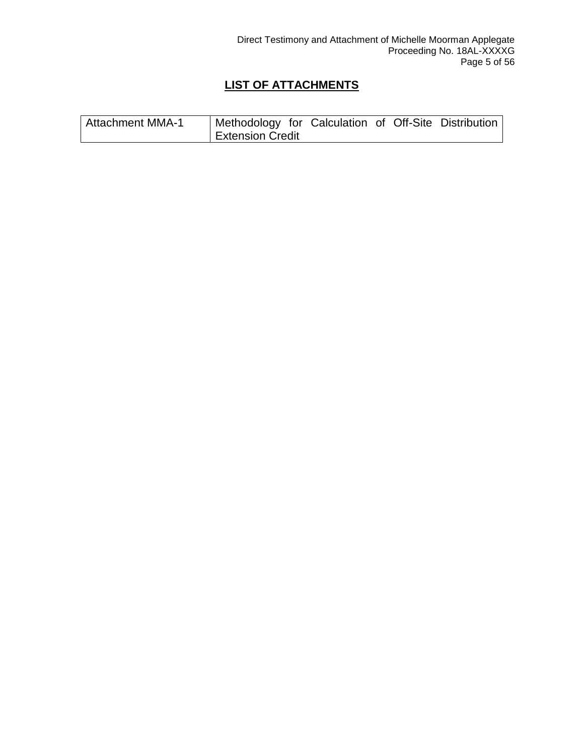#### **LIST OF ATTACHMENTS**

| <b>Attachment MMA-1</b> | <sup>1</sup> Methodology for Calculation of Off-Site Distribution |  |  |  |
|-------------------------|-------------------------------------------------------------------|--|--|--|
|                         | <b>Extension Credit</b>                                           |  |  |  |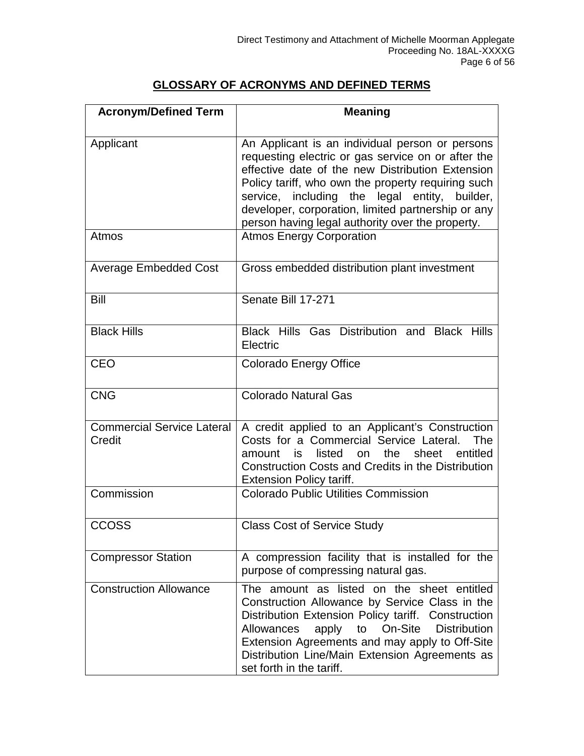#### **GLOSSARY OF ACRONYMS AND DEFINED TERMS**

| <b>Acronym/Defined Term</b>                 | <b>Meaning</b>                                                                                                                                                                                                                                                                                                                                                             |  |  |  |
|---------------------------------------------|----------------------------------------------------------------------------------------------------------------------------------------------------------------------------------------------------------------------------------------------------------------------------------------------------------------------------------------------------------------------------|--|--|--|
|                                             |                                                                                                                                                                                                                                                                                                                                                                            |  |  |  |
| Applicant                                   | An Applicant is an individual person or persons<br>requesting electric or gas service on or after the<br>effective date of the new Distribution Extension<br>Policy tariff, who own the property requiring such<br>service, including the legal entity, builder,<br>developer, corporation, limited partnership or any<br>person having legal authority over the property. |  |  |  |
| Atmos                                       | <b>Atmos Energy Corporation</b>                                                                                                                                                                                                                                                                                                                                            |  |  |  |
| <b>Average Embedded Cost</b>                | Gross embedded distribution plant investment                                                                                                                                                                                                                                                                                                                               |  |  |  |
| Bill                                        | Senate Bill 17-271                                                                                                                                                                                                                                                                                                                                                         |  |  |  |
| <b>Black Hills</b>                          | Black Hills Gas Distribution and Black Hills<br>Electric                                                                                                                                                                                                                                                                                                                   |  |  |  |
| <b>CEO</b>                                  | <b>Colorado Energy Office</b>                                                                                                                                                                                                                                                                                                                                              |  |  |  |
| <b>CNG</b>                                  | <b>Colorado Natural Gas</b>                                                                                                                                                                                                                                                                                                                                                |  |  |  |
| <b>Commercial Service Lateral</b><br>Credit | A credit applied to an Applicant's Construction<br>Costs for a Commercial Service Lateral.<br>The<br>listed<br>the<br>sheet<br>entitled<br>on<br>amount<br>is<br><b>Construction Costs and Credits in the Distribution</b><br><b>Extension Policy tariff.</b>                                                                                                              |  |  |  |
| Commission                                  | <b>Colorado Public Utilities Commission</b>                                                                                                                                                                                                                                                                                                                                |  |  |  |
| <b>CCOSS</b>                                | <b>Class Cost of Service Study</b>                                                                                                                                                                                                                                                                                                                                         |  |  |  |
| <b>Compressor Station</b>                   | A compression facility that is installed for the<br>purpose of compressing natural gas.                                                                                                                                                                                                                                                                                    |  |  |  |
| <b>Construction Allowance</b>               | The amount as listed on the sheet entitled<br>Construction Allowance by Service Class in the<br>Distribution Extension Policy tariff. Construction<br>On-Site<br><b>Distribution</b><br>Allowances<br>apply<br>to<br>Extension Agreements and may apply to Off-Site<br>Distribution Line/Main Extension Agreements as<br>set forth in the tariff.                          |  |  |  |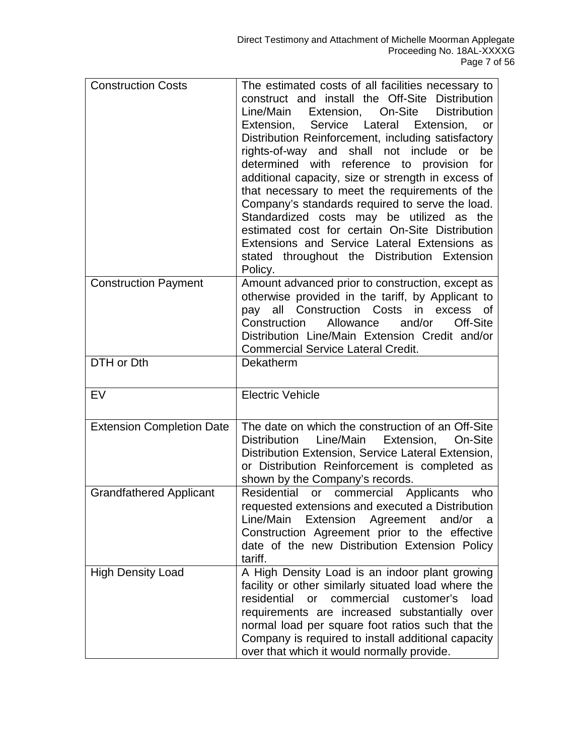| <b>Construction Costs</b>        | The estimated costs of all facilities necessary to<br>construct and install the Off-Site Distribution<br>Line/Main<br>Extension,<br>On-Site<br><b>Distribution</b><br>Service Lateral<br>Extension,<br>Extension,<br>or<br>Distribution Reinforcement, including satisfactory<br>rights-of-way and shall not include or<br>be<br>determined with reference to<br>provision<br>for<br>additional capacity, size or strength in excess of<br>that necessary to meet the requirements of the<br>Company's standards required to serve the load.<br>Standardized costs may be utilized as the<br>estimated cost for certain On-Site Distribution<br>Extensions and Service Lateral Extensions as<br>stated throughout the Distribution Extension<br>Policy. |
|----------------------------------|---------------------------------------------------------------------------------------------------------------------------------------------------------------------------------------------------------------------------------------------------------------------------------------------------------------------------------------------------------------------------------------------------------------------------------------------------------------------------------------------------------------------------------------------------------------------------------------------------------------------------------------------------------------------------------------------------------------------------------------------------------|
| <b>Construction Payment</b>      | Amount advanced prior to construction, except as<br>otherwise provided in the tariff, by Applicant to<br>pay all Construction Costs<br>in excess of<br>and/or<br>Construction<br>Allowance<br>Off-Site<br>Distribution Line/Main Extension Credit and/or<br><b>Commercial Service Lateral Credit.</b>                                                                                                                                                                                                                                                                                                                                                                                                                                                   |
| DTH or Dth                       | Dekatherm                                                                                                                                                                                                                                                                                                                                                                                                                                                                                                                                                                                                                                                                                                                                               |
| EV                               | <b>Electric Vehicle</b>                                                                                                                                                                                                                                                                                                                                                                                                                                                                                                                                                                                                                                                                                                                                 |
| <b>Extension Completion Date</b> | The date on which the construction of an Off-Site<br>Line/Main<br><b>Distribution</b><br>Extension,<br>On-Site<br>Distribution Extension, Service Lateral Extension,<br>or Distribution Reinforcement is completed as<br>shown by the Company's records.                                                                                                                                                                                                                                                                                                                                                                                                                                                                                                |
| <b>Grandfathered Applicant</b>   | Residential<br>or commercial Applicants<br>who<br>requested extensions and executed a Distribution<br>Line/Main<br>Extension<br>Agreement<br>and/or<br>a<br>Construction Agreement prior to the effective<br>date of the new Distribution Extension Policy<br>tariff.                                                                                                                                                                                                                                                                                                                                                                                                                                                                                   |
| <b>High Density Load</b>         | A High Density Load is an indoor plant growing<br>facility or other similarly situated load where the<br>residential<br>commercial<br>customer's<br><b>or</b><br>load<br>requirements are increased substantially<br>over<br>normal load per square foot ratios such that the<br>Company is required to install additional capacity<br>over that which it would normally provide.                                                                                                                                                                                                                                                                                                                                                                       |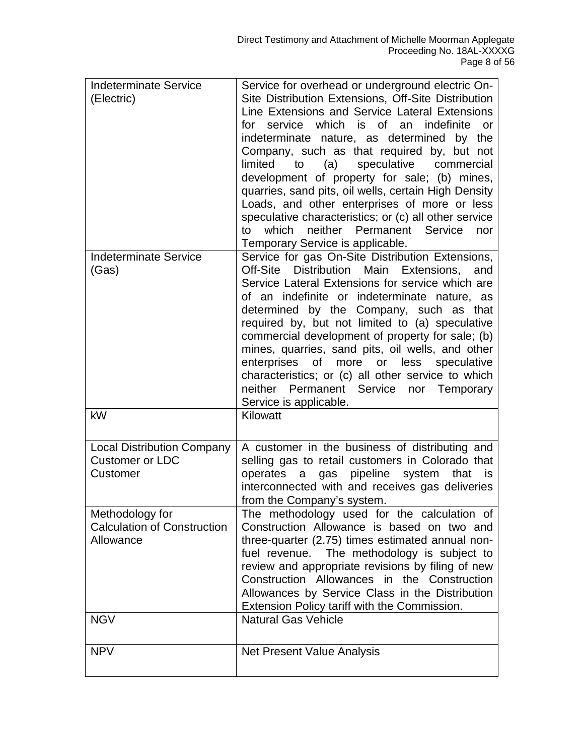| <b>Indeterminate Service</b><br>(Electric)<br><b>Indeterminate Service</b>       | Service for overhead or underground electric On-<br>Site Distribution Extensions, Off-Site Distribution<br>Line Extensions and Service Lateral Extensions<br>which is of an<br>indefinite<br>for<br>service<br><b>or</b><br>indeterminate nature, as determined by the<br>Company, such as that required by, but not<br>commercial<br>limited<br>to<br>(a)<br>speculative<br>development of property for sale; (b) mines,<br>quarries, sand pits, oil wells, certain High Density<br>Loads, and other enterprises of more or less<br>speculative characteristics; or (c) all other service<br>neither Permanent Service<br>to<br>which<br>nor<br>Temporary Service is applicable.<br>Service for gas On-Site Distribution Extensions, |
|----------------------------------------------------------------------------------|---------------------------------------------------------------------------------------------------------------------------------------------------------------------------------------------------------------------------------------------------------------------------------------------------------------------------------------------------------------------------------------------------------------------------------------------------------------------------------------------------------------------------------------------------------------------------------------------------------------------------------------------------------------------------------------------------------------------------------------|
| (Gas)                                                                            | Off-Site Distribution Main Extensions,<br>and<br>Service Lateral Extensions for service which are<br>of an indefinite or indeterminate nature, as<br>determined by the Company, such as that<br>required by, but not limited to (a) speculative<br>commercial development of property for sale; (b)<br>mines, quarries, sand pits, oil wells, and other<br>more or less speculative<br>enterprises of<br>characteristics; or (c) all other service to which<br>neither<br>Permanent Service nor Temporary<br>Service is applicable.                                                                                                                                                                                                   |
| kW                                                                               | Kilowatt                                                                                                                                                                                                                                                                                                                                                                                                                                                                                                                                                                                                                                                                                                                              |
| <b>Local Distribution Company</b><br><b>Customer or LDC</b><br>Customer          | A customer in the business of distributing and<br>selling gas to retail customers in Colorado that<br>pipeline<br>system<br>operates<br>gas<br>a<br>that<br>is<br>interconnected with and receives gas deliveries<br>from the Company's system.                                                                                                                                                                                                                                                                                                                                                                                                                                                                                       |
| Methodology for<br><b>Calculation of Construction</b><br>Allowance<br><b>NGV</b> | The methodology used for the calculation of<br>Construction Allowance is based on two and<br>three-quarter (2.75) times estimated annual non-<br>fuel revenue. The methodology is subject to<br>review and appropriate revisions by filing of new<br>Construction Allowances in the Construction<br>Allowances by Service Class in the Distribution<br>Extension Policy tariff with the Commission.<br><b>Natural Gas Vehicle</b>                                                                                                                                                                                                                                                                                                     |
|                                                                                  |                                                                                                                                                                                                                                                                                                                                                                                                                                                                                                                                                                                                                                                                                                                                       |
| <b>NPV</b>                                                                       | Net Present Value Analysis                                                                                                                                                                                                                                                                                                                                                                                                                                                                                                                                                                                                                                                                                                            |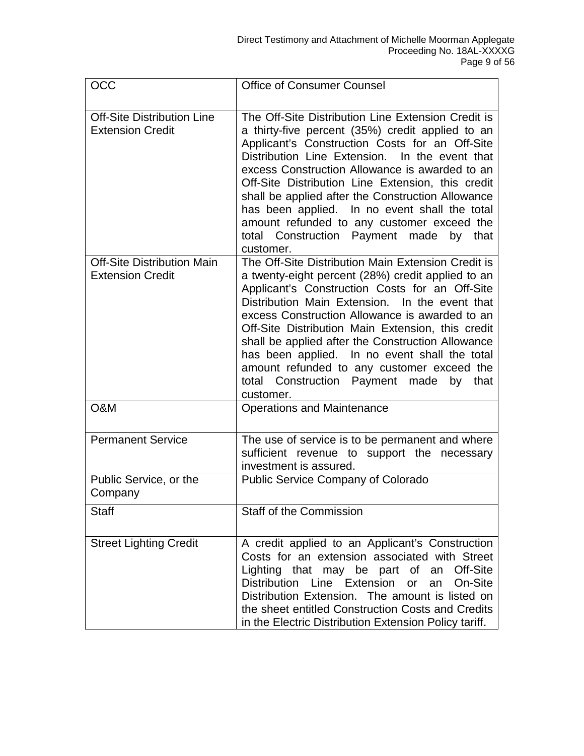| OCC                                                          | <b>Office of Consumer Counsel</b>                                                                                                                                                                                                                                                                                                                                                                                                                                                                                                    |
|--------------------------------------------------------------|--------------------------------------------------------------------------------------------------------------------------------------------------------------------------------------------------------------------------------------------------------------------------------------------------------------------------------------------------------------------------------------------------------------------------------------------------------------------------------------------------------------------------------------|
| <b>Off-Site Distribution Line</b><br><b>Extension Credit</b> | The Off-Site Distribution Line Extension Credit is<br>a thirty-five percent (35%) credit applied to an<br>Applicant's Construction Costs for an Off-Site<br>Distribution Line Extension. In the event that<br>excess Construction Allowance is awarded to an<br>Off-Site Distribution Line Extension, this credit<br>shall be applied after the Construction Allowance<br>has been applied. In no event shall the total<br>amount refunded to any customer exceed the<br>total Construction Payment made<br>by that<br>customer.     |
| <b>Off-Site Distribution Main</b><br><b>Extension Credit</b> | The Off-Site Distribution Main Extension Credit is<br>a twenty-eight percent (28%) credit applied to an<br>Applicant's Construction Costs for an Off-Site<br>Distribution Main Extension. In the event that<br>excess Construction Allowance is awarded to an<br>Off-Site Distribution Main Extension, this credit<br>shall be applied after the Construction Allowance<br>has been applied. In no event shall the total<br>amount refunded to any customer exceed the<br>total Construction Payment made<br>by<br>that<br>customer. |
| O&M                                                          | <b>Operations and Maintenance</b>                                                                                                                                                                                                                                                                                                                                                                                                                                                                                                    |
| <b>Permanent Service</b>                                     | The use of service is to be permanent and where<br>sufficient revenue to support the necessary<br>investment is assured.                                                                                                                                                                                                                                                                                                                                                                                                             |
| Public Service, or the<br>Company                            | Public Service Company of Colorado                                                                                                                                                                                                                                                                                                                                                                                                                                                                                                   |
| Staff                                                        | <b>Staff of the Commission</b>                                                                                                                                                                                                                                                                                                                                                                                                                                                                                                       |
| <b>Street Lighting Credit</b>                                | A credit applied to an Applicant's Construction<br>Costs for an extension associated with Street<br>Lighting that may be part of an Off-Site<br>Distribution Line Extension or<br>an On-Site<br>Distribution Extension. The amount is listed on<br>the sheet entitled Construction Costs and Credits<br>in the Electric Distribution Extension Policy tariff.                                                                                                                                                                        |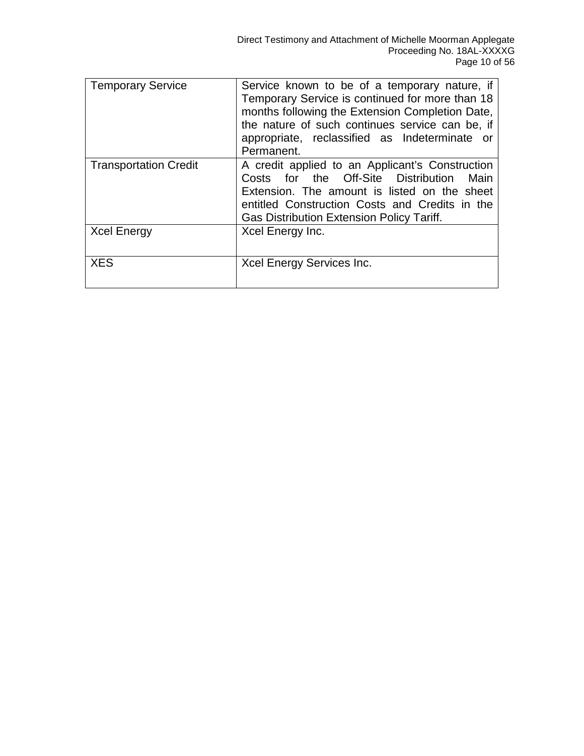| <b>Temporary Service</b>     | Service known to be of a temporary nature, if<br>Temporary Service is continued for more than 18<br>months following the Extension Completion Date,<br>the nature of such continues service can be, if<br>appropriate, reclassified as Indeterminate or<br>Permanent. |
|------------------------------|-----------------------------------------------------------------------------------------------------------------------------------------------------------------------------------------------------------------------------------------------------------------------|
| <b>Transportation Credit</b> | A credit applied to an Applicant's Construction<br>Costs for the Off-Site Distribution<br>Main<br>Extension. The amount is listed on the sheet<br>entitled Construction Costs and Credits in the<br><b>Gas Distribution Extension Policy Tariff.</b>                  |
| <b>Xcel Energy</b>           | Xcel Energy Inc.                                                                                                                                                                                                                                                      |
| <b>XES</b>                   | Xcel Energy Services Inc.                                                                                                                                                                                                                                             |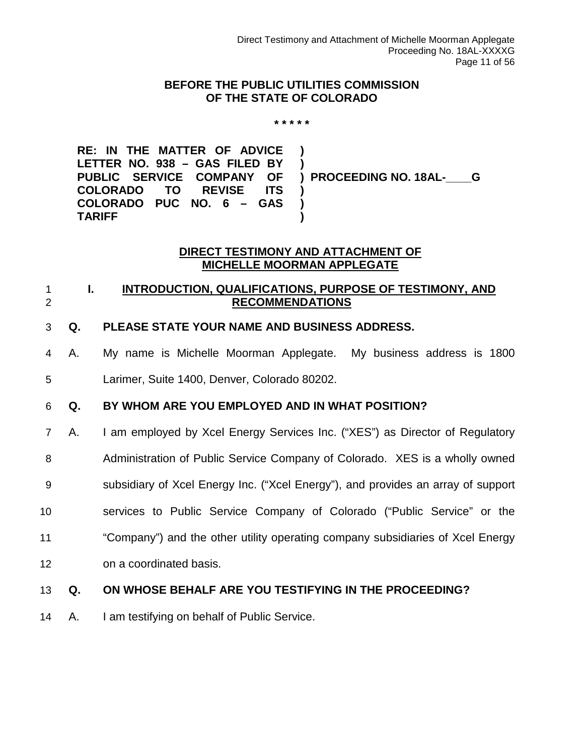#### **BEFORE THE PUBLIC UTILITIES COMMISSION OF THE STATE OF COLORADO**

#### **\* \* \* \* \***

**RE: IN THE MATTER OF ADVICE LETTER NO. 938 – GAS FILED BY PUBLIC SERVICE COMPANY OF COLORADO TO REVISE ITS COLORADO PUC NO. 6 – GAS TARIFF ) ) ) PROCEEDING NO. 18AL-\_\_\_\_G ) ) )**

#### **DIRECT TESTIMONY AND ATTACHMENT OF MICHELLE MOORMAN APPLEGATE**

#### <span id="page-10-0"></span>1 **I. INTRODUCTION, QUALIFICATIONS, PURPOSE OF TESTIMONY, AND**  2 **RECOMMENDATIONS**

#### 3 **Q. PLEASE STATE YOUR NAME AND BUSINESS ADDRESS.**

4 A. My name is Michelle Moorman Applegate. My business address is 1800 5 Larimer, Suite 1400, Denver, Colorado 80202.

### 6 **Q. BY WHOM ARE YOU EMPLOYED AND IN WHAT POSITION?**

- 7 A. I am employed by Xcel Energy Services Inc. ("XES") as Director of Regulatory
- 8 Administration of Public Service Company of Colorado. XES is a wholly owned
- 9 subsidiary of Xcel Energy Inc. ("Xcel Energy"), and provides an array of support
- 10 services to Public Service Company of Colorado ("Public Service" or the
- 11 "Company") and the other utility operating company subsidiaries of Xcel Energy
- 12 on a coordinated basis.

#### 13 **Q. ON WHOSE BEHALF ARE YOU TESTIFYING IN THE PROCEEDING?**

14 A. I am testifying on behalf of Public Service.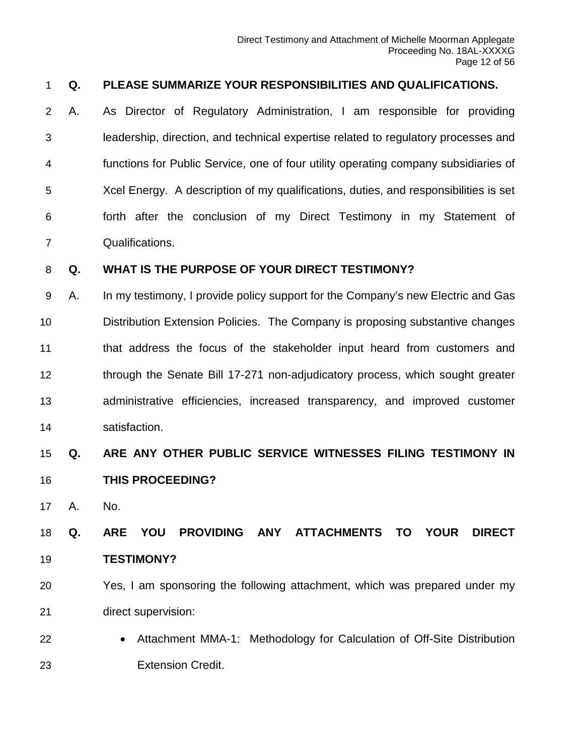#### **Q. PLEASE SUMMARIZE YOUR RESPONSIBILITIES AND QUALIFICATIONS.**

 A. As Director of Regulatory Administration, I am responsible for providing leadership, direction, and technical expertise related to regulatory processes and functions for Public Service, one of four utility operating company subsidiaries of Xcel Energy. A description of my qualifications, duties, and responsibilities is set forth after the conclusion of my Direct Testimony in my Statement of Qualifications.

#### **Q. WHAT IS THE PURPOSE OF YOUR DIRECT TESTIMONY?**

 A. In my testimony, I provide policy support for the Company's new Electric and Gas Distribution Extension Policies. The Company is proposing substantive changes that address the focus of the stakeholder input heard from customers and 12 through the Senate Bill 17-271 non-adjudicatory process, which sought greater administrative efficiencies, increased transparency, and improved customer satisfaction.

# **Q. ARE ANY OTHER PUBLIC SERVICE WITNESSES FILING TESTIMONY IN THIS PROCEEDING?**

A. No.

# **Q. ARE YOU PROVIDING ANY ATTACHMENTS TO YOUR DIRECT TESTIMONY?**

- Yes, I am sponsoring the following attachment, which was prepared under my direct supervision:
- Attachment MMA-1: Methodology for Calculation of Off-Site Distribution Extension Credit.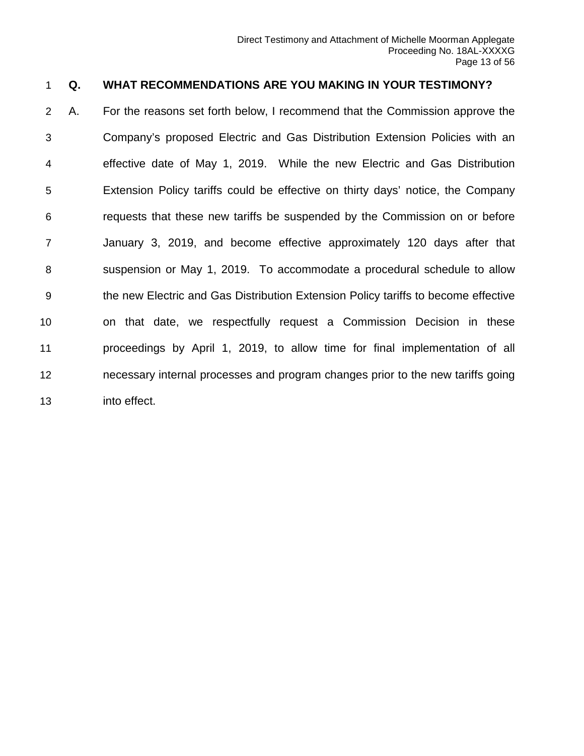#### **Q. WHAT RECOMMENDATIONS ARE YOU MAKING IN YOUR TESTIMONY?**

 A. For the reasons set forth below, I recommend that the Commission approve the Company's proposed Electric and Gas Distribution Extension Policies with an effective date of May 1, 2019. While the new Electric and Gas Distribution Extension Policy tariffs could be effective on thirty days' notice, the Company requests that these new tariffs be suspended by the Commission on or before January 3, 2019, and become effective approximately 120 days after that suspension or May 1, 2019. To accommodate a procedural schedule to allow the new Electric and Gas Distribution Extension Policy tariffs to become effective on that date, we respectfully request a Commission Decision in these proceedings by April 1, 2019, to allow time for final implementation of all necessary internal processes and program changes prior to the new tariffs going into effect.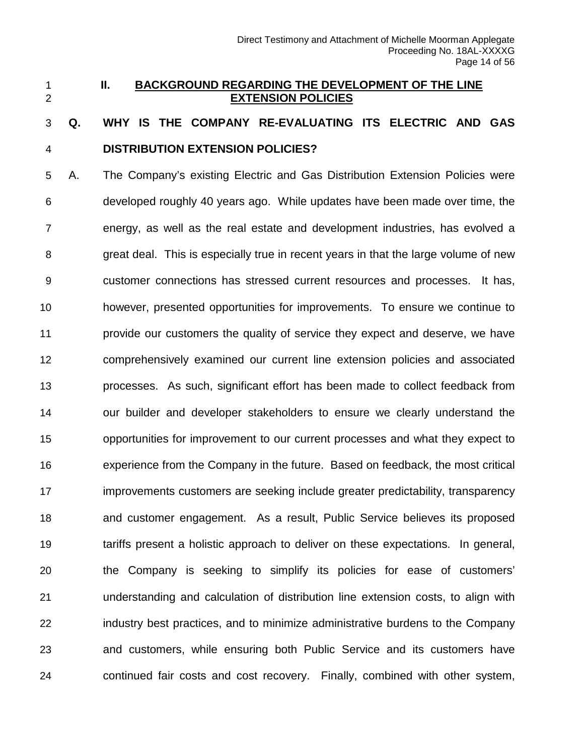#### <span id="page-13-0"></span> **II. BACKGROUND REGARDING THE DEVELOPMENT OF THE LINE EXTENSION POLICIES**

# **Q. WHY IS THE COMPANY RE-EVALUATING ITS ELECTRIC AND GAS DISTRIBUTION EXTENSION POLICIES?**

 A. The Company's existing Electric and Gas Distribution Extension Policies were developed roughly 40 years ago. While updates have been made over time, the energy, as well as the real estate and development industries, has evolved a great deal. This is especially true in recent years in that the large volume of new customer connections has stressed current resources and processes. It has, however, presented opportunities for improvements. To ensure we continue to provide our customers the quality of service they expect and deserve, we have comprehensively examined our current line extension policies and associated processes. As such, significant effort has been made to collect feedback from our builder and developer stakeholders to ensure we clearly understand the opportunities for improvement to our current processes and what they expect to experience from the Company in the future. Based on feedback, the most critical improvements customers are seeking include greater predictability, transparency and customer engagement. As a result, Public Service believes its proposed tariffs present a holistic approach to deliver on these expectations. In general, the Company is seeking to simplify its policies for ease of customers' understanding and calculation of distribution line extension costs, to align with industry best practices, and to minimize administrative burdens to the Company and customers, while ensuring both Public Service and its customers have continued fair costs and cost recovery. Finally, combined with other system,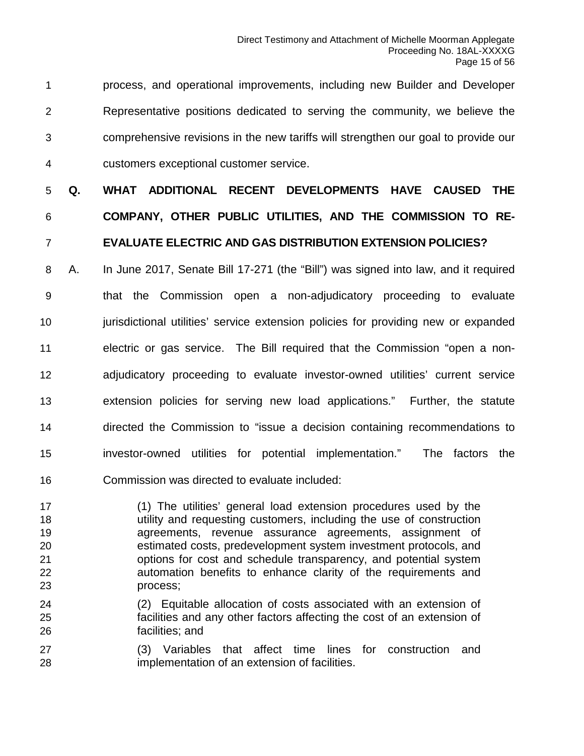process, and operational improvements, including new Builder and Developer Representative positions dedicated to serving the community, we believe the comprehensive revisions in the new tariffs will strengthen our goal to provide our customers exceptional customer service.

# **Q. WHAT ADDITIONAL RECENT DEVELOPMENTS HAVE CAUSED THE COMPANY, OTHER PUBLIC UTILITIES, AND THE COMMISSION TO RE-EVALUATE ELECTRIC AND GAS DISTRIBUTION EXTENSION POLICIES?**

 A. In June 2017, Senate Bill 17-271 (the "Bill") was signed into law, and it required that the Commission open a non-adjudicatory proceeding to evaluate **jurisdictional utilities' service extension policies for providing new or expanded**  electric or gas service. The Bill required that the Commission "open a non- adjudicatory proceeding to evaluate investor-owned utilities' current service extension policies for serving new load applications." Further, the statute directed the Commission to "issue a decision containing recommendations to investor-owned utilities for potential implementation." The factors the Commission was directed to evaluate included:

 (1) The utilities' general load extension procedures used by the utility and requesting customers, including the use of construction agreements, revenue assurance agreements, assignment of estimated costs, predevelopment system investment protocols, and options for cost and schedule transparency, and potential system automation benefits to enhance clarity of the requirements and process;

- (2) Equitable allocation of costs associated with an extension of facilities and any other factors affecting the cost of an extension of facilities; and
- (3) Variables that affect time lines for construction and implementation of an extension of facilities.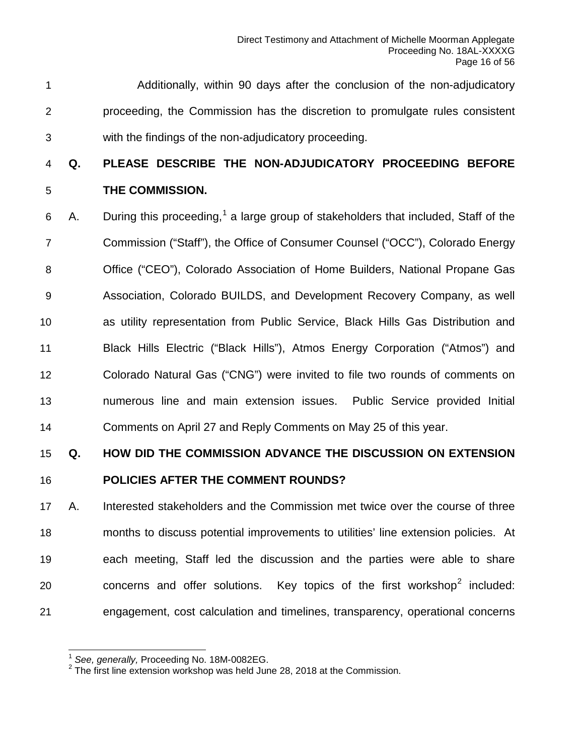Additionally, within 90 days after the conclusion of the non-adjudicatory proceeding, the Commission has the discretion to promulgate rules consistent with the findings of the non-adjudicatory proceeding.

# **Q. PLEASE DESCRIBE THE NON-ADJUDICATORY PROCEEDING BEFORE THE COMMISSION.**

6 A. During this proceeding,<sup>[1](#page-15-0)</sup> a large group of stakeholders that included, Staff of the Commission ("Staff"), the Office of Consumer Counsel ("OCC"), Colorado Energy Office ("CEO"), Colorado Association of Home Builders, National Propane Gas Association, Colorado BUILDS, and Development Recovery Company, as well as utility representation from Public Service, Black Hills Gas Distribution and Black Hills Electric ("Black Hills"), Atmos Energy Corporation ("Atmos") and Colorado Natural Gas ("CNG") were invited to file two rounds of comments on numerous line and main extension issues. Public Service provided Initial Comments on April 27 and Reply Comments on May 25 of this year.

#### **Q. HOW DID THE COMMISSION ADVANCE THE DISCUSSION ON EXTENSION**

#### **POLICIES AFTER THE COMMENT ROUNDS?**

 A. Interested stakeholders and the Commission met twice over the course of three months to discuss potential improvements to utilities' line extension policies. At each meeting, Staff led the discussion and the parties were able to share 0  $\sim$  concerns and offer solutions. Key topics of the first workshop<sup>2</sup> included: engagement, cost calculation and timelines, transparency, operational concerns

<sup>1</sup> *See, generally,* Proceeding No. 18M-0082EG.

<span id="page-15-1"></span><span id="page-15-0"></span><sup>&</sup>lt;sup>2</sup> The first line extension workshop was held June 28, 2018 at the Commission.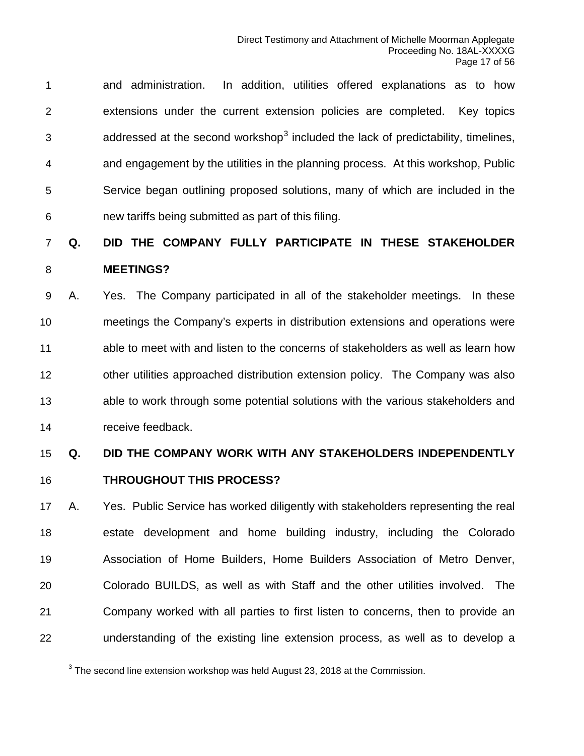and administration. In addition, utilities offered explanations as to how extensions under the current extension policies are completed. Key topics  $\alpha$  addressed at the second workshop<sup>[3](#page-16-0)</sup> included the lack of predictability, timelines, and engagement by the utilities in the planning process. At this workshop, Public Service began outlining proposed solutions, many of which are included in the new tariffs being submitted as part of this filing.

### **Q. DID THE COMPANY FULLY PARTICIPATE IN THESE STAKEHOLDER MEETINGS?**

 A. Yes. The Company participated in all of the stakeholder meetings. In these meetings the Company's experts in distribution extensions and operations were able to meet with and listen to the concerns of stakeholders as well as learn how other utilities approached distribution extension policy. The Company was also able to work through some potential solutions with the various stakeholders and receive feedback.

## **Q. DID THE COMPANY WORK WITH ANY STAKEHOLDERS INDEPENDENTLY THROUGHOUT THIS PROCESS?**

 A. Yes. Public Service has worked diligently with stakeholders representing the real estate development and home building industry, including the Colorado Association of Home Builders, Home Builders Association of Metro Denver, Colorado BUILDS, as well as with Staff and the other utilities involved. The Company worked with all parties to first listen to concerns, then to provide an understanding of the existing line extension process, as well as to develop a

<span id="page-16-0"></span>The second line extension workshop was held August 23, 2018 at the Commission.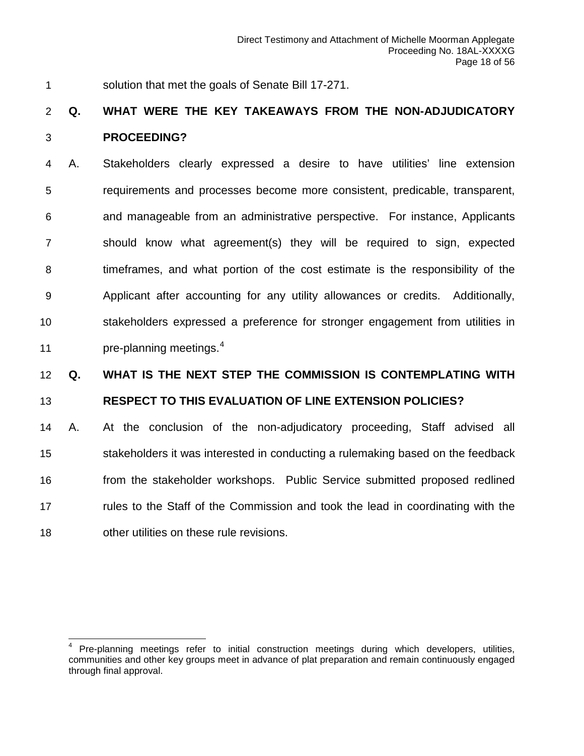solution that met the goals of Senate Bill 17-271.

### **Q. WHAT WERE THE KEY TAKEAWAYS FROM THE NON-ADJUDICATORY PROCEEDING?**

 A. Stakeholders clearly expressed a desire to have utilities' line extension requirements and processes become more consistent, predicable, transparent, and manageable from an administrative perspective. For instance, Applicants should know what agreement(s) they will be required to sign, expected timeframes, and what portion of the cost estimate is the responsibility of the Applicant after accounting for any utility allowances or credits. Additionally, stakeholders expressed a preference for stronger engagement from utilities in **pre-planning meetings.**<sup>[4](#page-17-0)</sup>

### **Q. WHAT IS THE NEXT STEP THE COMMISSION IS CONTEMPLATING WITH**

#### **RESPECT TO THIS EVALUATION OF LINE EXTENSION POLICIES?**

 A. At the conclusion of the non-adjudicatory proceeding, Staff advised all stakeholders it was interested in conducting a rulemaking based on the feedback from the stakeholder workshops. Public Service submitted proposed redlined rules to the Staff of the Commission and took the lead in coordinating with the other utilities on these rule revisions.

<span id="page-17-0"></span>Pre-planning meetings refer to initial construction meetings during which developers, utilities, communities and other key groups meet in advance of plat preparation and remain continuously engaged through final approval.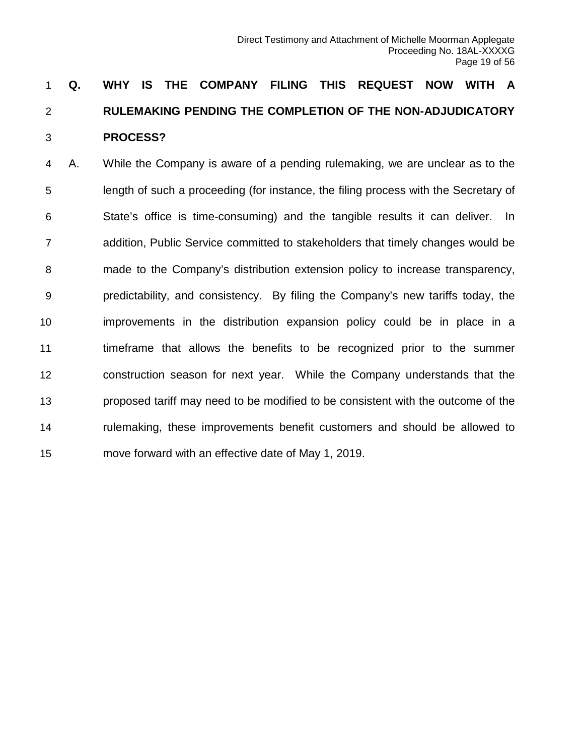# **Q. WHY IS THE COMPANY FILING THIS REQUEST NOW WITH A RULEMAKING PENDING THE COMPLETION OF THE NON-ADJUDICATORY PROCESS?**

 A. While the Company is aware of a pending rulemaking, we are unclear as to the length of such a proceeding (for instance, the filing process with the Secretary of State's office is time-consuming) and the tangible results it can deliver. In addition, Public Service committed to stakeholders that timely changes would be made to the Company's distribution extension policy to increase transparency, predictability, and consistency. By filing the Company's new tariffs today, the improvements in the distribution expansion policy could be in place in a timeframe that allows the benefits to be recognized prior to the summer construction season for next year. While the Company understands that the proposed tariff may need to be modified to be consistent with the outcome of the rulemaking, these improvements benefit customers and should be allowed to move forward with an effective date of May 1, 2019.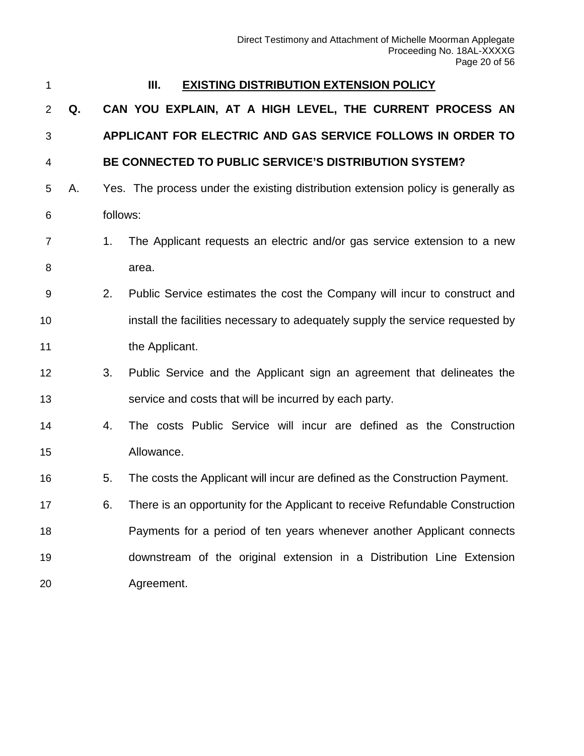<span id="page-19-0"></span>

#### **III. EXISTING DISTRIBUTION EXTENSION POLICY**

 **Q. CAN YOU EXPLAIN, AT A HIGH LEVEL, THE CURRENT PROCESS AN APPLICANT FOR ELECTRIC AND GAS SERVICE FOLLOWS IN ORDER TO** 

#### **BE CONNECTED TO PUBLIC SERVICE'S DISTRIBUTION SYSTEM?**

- A. Yes. The process under the existing distribution extension policy is generally as follows:
- 1. The Applicant requests an electric and/or gas service extension to a new 8 area.
- 2. Public Service estimates the cost the Company will incur to construct and install the facilities necessary to adequately supply the service requested by 11 the Applicant.
- 3. Public Service and the Applicant sign an agreement that delineates the service and costs that will be incurred by each party.
- 4. The costs Public Service will incur are defined as the Construction Allowance.
- 5. The costs the Applicant will incur are defined as the Construction Payment.
- 6. There is an opportunity for the Applicant to receive Refundable Construction Payments for a period of ten years whenever another Applicant connects downstream of the original extension in a Distribution Line Extension Agreement.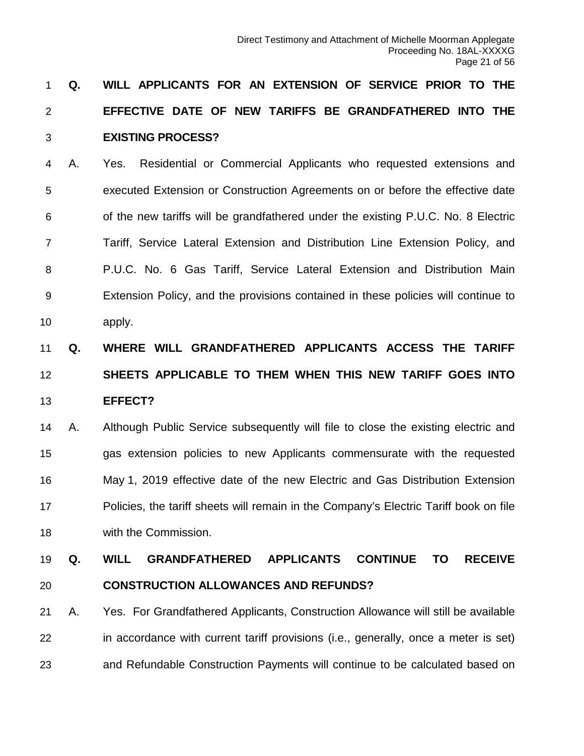# **Q. WILL APPLICANTS FOR AN EXTENSION OF SERVICE PRIOR TO THE EFFECTIVE DATE OF NEW TARIFFS BE GRANDFATHERED INTO THE EXISTING PROCESS?**

 A. Yes. Residential or Commercial Applicants who requested extensions and executed Extension or Construction Agreements on or before the effective date of the new tariffs will be grandfathered under the existing P.U.C. No. 8 Electric Tariff, Service Lateral Extension and Distribution Line Extension Policy, and P.U.C. No. 6 Gas Tariff, Service Lateral Extension and Distribution Main Extension Policy, and the provisions contained in these policies will continue to apply.

# **Q. WHERE WILL GRANDFATHERED APPLICANTS ACCESS THE TARIFF SHEETS APPLICABLE TO THEM WHEN THIS NEW TARIFF GOES INTO EFFECT?**

 A. Although Public Service subsequently will file to close the existing electric and gas extension policies to new Applicants commensurate with the requested May 1, 2019 effective date of the new Electric and Gas Distribution Extension Policies, the tariff sheets will remain in the Company's Electric Tariff book on file with the Commission.

# **Q. WILL GRANDFATHERED APPLICANTS CONTINUE TO RECEIVE CONSTRUCTION ALLOWANCES AND REFUNDS?**

 A. Yes. For Grandfathered Applicants, Construction Allowance will still be available in accordance with current tariff provisions (i.e., generally, once a meter is set) and Refundable Construction Payments will continue to be calculated based on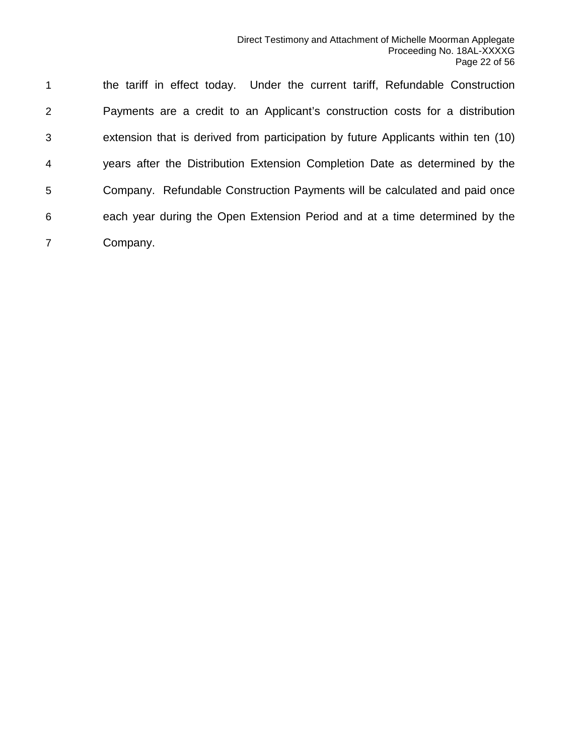the tariff in effect today. Under the current tariff, Refundable Construction Payments are a credit to an Applicant's construction costs for a distribution extension that is derived from participation by future Applicants within ten (10) years after the Distribution Extension Completion Date as determined by the Company. Refundable Construction Payments will be calculated and paid once each year during the Open Extension Period and at a time determined by the Company.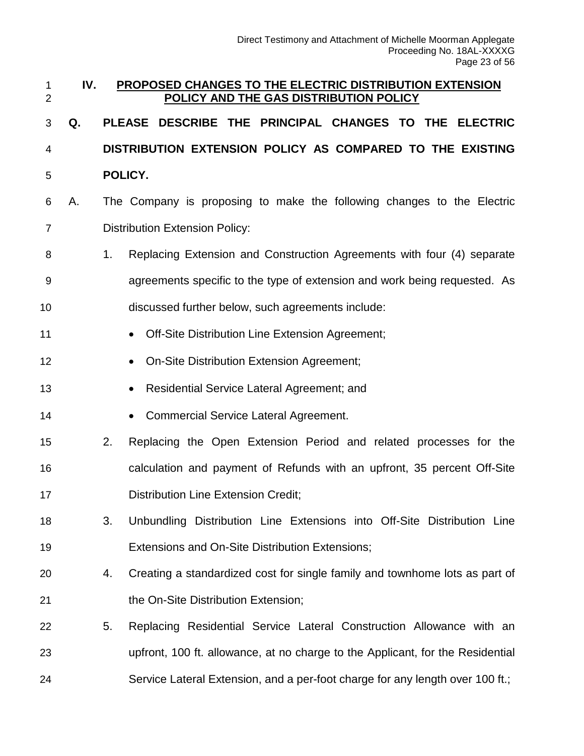<span id="page-22-0"></span>

| $\mathbf 1$<br>$\overline{2}$ | IV. |                | PROPOSED CHANGES TO THE ELECTRIC DISTRIBUTION EXTENSION<br>POLICY AND THE GAS DISTRIBUTION POLICY |
|-------------------------------|-----|----------------|---------------------------------------------------------------------------------------------------|
| 3                             | Q.  |                | DESCRIBE THE PRINCIPAL CHANGES TO THE ELECTRIC<br><b>PLEASE</b>                                   |
| 4                             |     |                | DISTRIBUTION EXTENSION POLICY AS COMPARED TO THE EXISTING                                         |
| 5                             |     |                | POLICY.                                                                                           |
| 6                             | А.  |                | The Company is proposing to make the following changes to the Electric                            |
| $\overline{7}$                |     |                | <b>Distribution Extension Policy:</b>                                                             |
| 8                             |     | 1 <sub>1</sub> | Replacing Extension and Construction Agreements with four (4) separate                            |
| 9                             |     |                | agreements specific to the type of extension and work being requested. As                         |
| 10                            |     |                | discussed further below, such agreements include:                                                 |
| 11                            |     |                | Off-Site Distribution Line Extension Agreement;<br>$\bullet$                                      |
| 12                            |     |                | On-Site Distribution Extension Agreement;                                                         |
| 13                            |     |                | Residential Service Lateral Agreement; and<br>$\bullet$                                           |
| 14                            |     |                | <b>Commercial Service Lateral Agreement.</b><br>$\bullet$                                         |
| 15                            |     | 2.             | Replacing the Open Extension Period and related processes for the                                 |
| 16                            |     |                | calculation and payment of Refunds with an upfront, 35 percent Off-Site                           |
| 17                            |     |                | <b>Distribution Line Extension Credit;</b>                                                        |
| 18                            |     | 3.             | Unbundling Distribution Line Extensions into Off-Site Distribution Line                           |
| 19                            |     |                | Extensions and On-Site Distribution Extensions;                                                   |
| 20                            |     | 4.             | Creating a standardized cost for single family and townhome lots as part of                       |
| 21                            |     |                | the On-Site Distribution Extension;                                                               |
| 22                            |     | 5.             | Replacing Residential Service Lateral Construction Allowance with an                              |
| 23                            |     |                | upfront, 100 ft. allowance, at no charge to the Applicant, for the Residential                    |
| 24                            |     |                | Service Lateral Extension, and a per-foot charge for any length over 100 ft.;                     |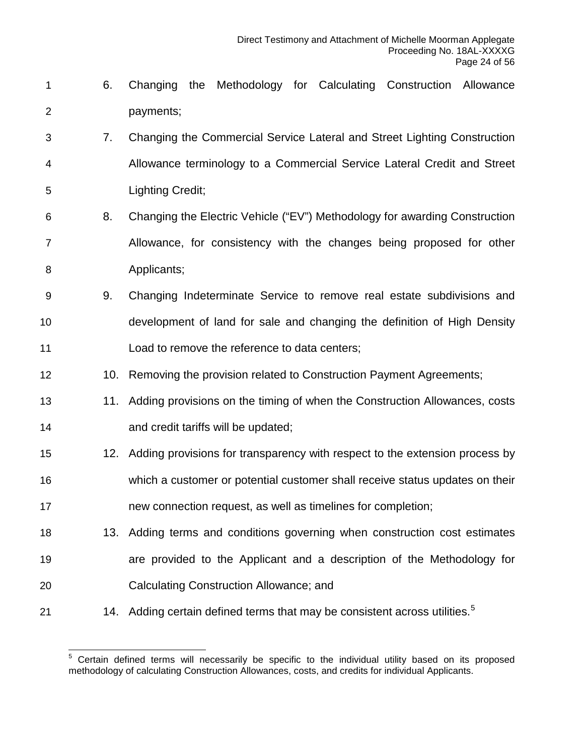- 6. Changing the Methodology for Calculating Construction Allowance payments;
- 7. Changing the Commercial Service Lateral and Street Lighting Construction Allowance terminology to a Commercial Service Lateral Credit and Street Lighting Credit;
- 8. Changing the Electric Vehicle ("EV") Methodology for awarding Construction Allowance, for consistency with the changes being proposed for other **Applicants**;
- 9. Changing Indeterminate Service to remove real estate subdivisions and development of land for sale and changing the definition of High Density Load to remove the reference to data centers;
- 12 10. Removing the provision related to Construction Payment Agreements;
- 11. Adding provisions on the timing of when the Construction Allowances, costs **and credit tariffs will be updated;**
- 12. Adding provisions for transparency with respect to the extension process by which a customer or potential customer shall receive status updates on their new connection request, as well as timelines for completion;
- 13. Adding terms and conditions governing when construction cost estimates are provided to the Applicant and a description of the Methodology for Calculating Construction Allowance; and
- <span id="page-23-0"></span>21 14. Adding certain defined terms that may be consistent across utilities.<sup>[5](#page-23-0)</sup>

 Certain defined terms will necessarily be specific to the individual utility based on its proposed methodology of calculating Construction Allowances, costs, and credits for individual Applicants.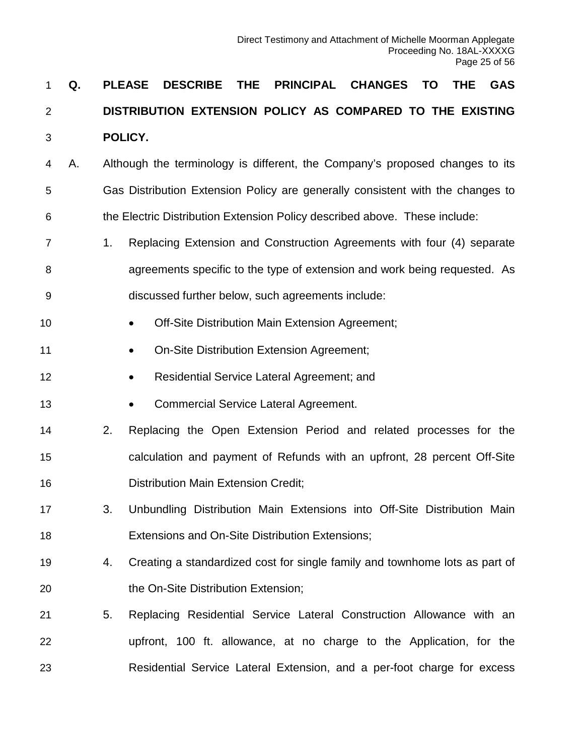# **Q. PLEASE DESCRIBE THE PRINCIPAL CHANGES TO THE GAS DISTRIBUTION EXTENSION POLICY AS COMPARED TO THE EXISTING POLICY.**

- A. Although the terminology is different, the Company's proposed changes to its Gas Distribution Extension Policy are generally consistent with the changes to the Electric Distribution Extension Policy described above. These include:
- 1. Replacing Extension and Construction Agreements with four (4) separate agreements specific to the type of extension and work being requested. As discussed further below, such agreements include:
- **•** Off-Site Distribution Main Extension Agreement;
- **On-Site Distribution Extension Agreement;**
- **Residential Service Lateral Agreement; and**
- **•** Commercial Service Lateral Agreement.
- 2. Replacing the Open Extension Period and related processes for the calculation and payment of Refunds with an upfront, 28 percent Off-Site Distribution Main Extension Credit;
- 3. Unbundling Distribution Main Extensions into Off-Site Distribution Main Extensions and On-Site Distribution Extensions;
- 4. Creating a standardized cost for single family and townhome lots as part of 20 the On-Site Distribution Extension;
- 5. Replacing Residential Service Lateral Construction Allowance with an upfront, 100 ft. allowance, at no charge to the Application, for the Residential Service Lateral Extension, and a per-foot charge for excess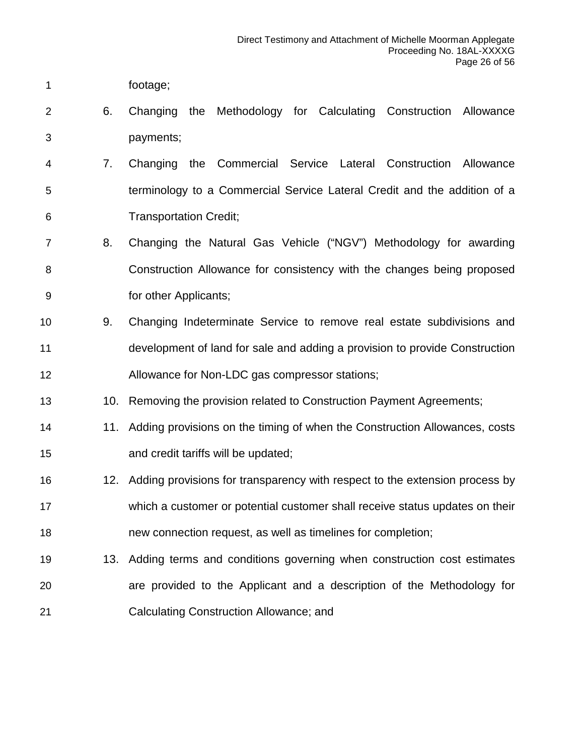- footage;
- 6. Changing the Methodology for Calculating Construction Allowance payments;
- 7. Changing the Commercial Service Lateral Construction Allowance terminology to a Commercial Service Lateral Credit and the addition of a Transportation Credit;
- 8. Changing the Natural Gas Vehicle ("NGV") Methodology for awarding Construction Allowance for consistency with the changes being proposed for other Applicants;
- 9. Changing Indeterminate Service to remove real estate subdivisions and development of land for sale and adding a provision to provide Construction Allowance for Non-LDC gas compressor stations;
- 13 10. Removing the provision related to Construction Payment Agreements;
- 14 11. Adding provisions on the timing of when the Construction Allowances, costs and credit tariffs will be updated;
- 12. Adding provisions for transparency with respect to the extension process by which a customer or potential customer shall receive status updates on their new connection request, as well as timelines for completion;
- 13. Adding terms and conditions governing when construction cost estimates are provided to the Applicant and a description of the Methodology for Calculating Construction Allowance; and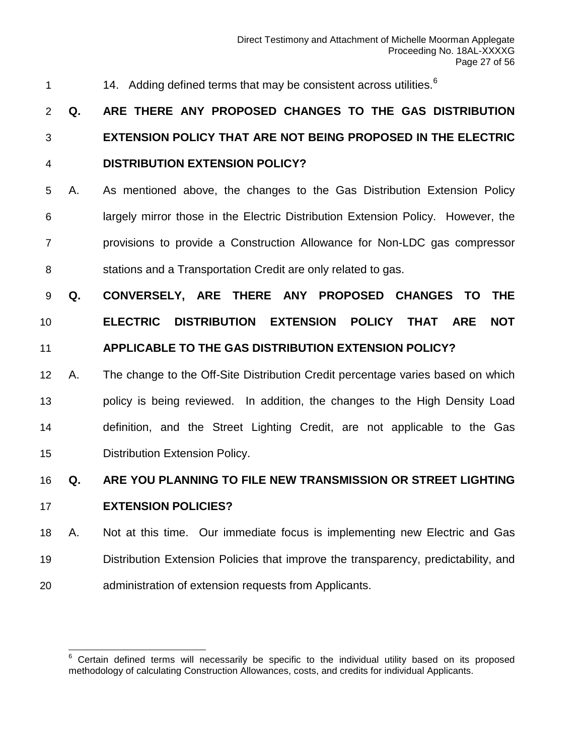1 14. Adding defined terms that may be consistent across utilities.<sup>[6](#page-26-0)</sup>

# **Q. ARE THERE ANY PROPOSED CHANGES TO THE GAS DISTRIBUTION EXTENSION POLICY THAT ARE NOT BEING PROPOSED IN THE ELECTRIC DISTRIBUTION EXTENSION POLICY?**

- A. As mentioned above, the changes to the Gas Distribution Extension Policy largely mirror those in the Electric Distribution Extension Policy. However, the provisions to provide a Construction Allowance for Non-LDC gas compressor stations and a Transportation Credit are only related to gas.
- **Q. CONVERSELY, ARE THERE ANY PROPOSED CHANGES TO THE**

# **ELECTRIC DISTRIBUTION EXTENSION POLICY THAT ARE NOT**

#### **APPLICABLE TO THE GAS DISTRIBUTION EXTENSION POLICY?**

 A. The change to the Off-Site Distribution Credit percentage varies based on which policy is being reviewed. In addition, the changes to the High Density Load definition, and the Street Lighting Credit, are not applicable to the Gas Distribution Extension Policy.

# **Q. ARE YOU PLANNING TO FILE NEW TRANSMISSION OR STREET LIGHTING**

#### **EXTENSION POLICIES?**

 A. Not at this time. Our immediate focus is implementing new Electric and Gas Distribution Extension Policies that improve the transparency, predictability, and administration of extension requests from Applicants.

<span id="page-26-0"></span> Certain defined terms will necessarily be specific to the individual utility based on its proposed methodology of calculating Construction Allowances, costs, and credits for individual Applicants.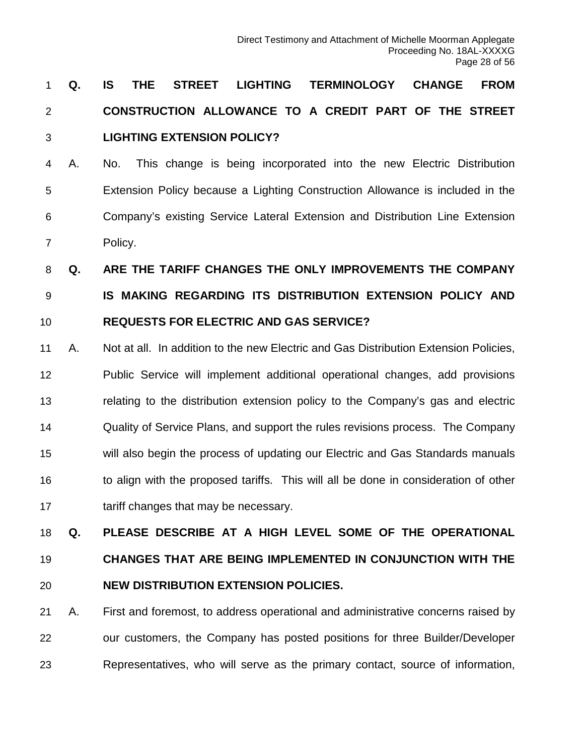# **Q. IS THE STREET LIGHTING TERMINOLOGY CHANGE FROM CONSTRUCTION ALLOWANCE TO A CREDIT PART OF THE STREET LIGHTING EXTENSION POLICY?**

 A. No. This change is being incorporated into the new Electric Distribution Extension Policy because a Lighting Construction Allowance is included in the Company's existing Service Lateral Extension and Distribution Line Extension Policy.

 **Q. ARE THE TARIFF CHANGES THE ONLY IMPROVEMENTS THE COMPANY IS MAKING REGARDING ITS DISTRIBUTION EXTENSION POLICY AND REQUESTS FOR ELECTRIC AND GAS SERVICE?**

 A. Not at all. In addition to the new Electric and Gas Distribution Extension Policies, Public Service will implement additional operational changes, add provisions relating to the distribution extension policy to the Company's gas and electric Quality of Service Plans, and support the rules revisions process. The Company will also begin the process of updating our Electric and Gas Standards manuals to align with the proposed tariffs. This will all be done in consideration of other tariff changes that may be necessary.

**Q. PLEASE DESCRIBE AT A HIGH LEVEL SOME OF THE OPERATIONAL** 

# **CHANGES THAT ARE BEING IMPLEMENTED IN CONJUNCTION WITH THE NEW DISTRIBUTION EXTENSION POLICIES.**

 A. First and foremost, to address operational and administrative concerns raised by our customers, the Company has posted positions for three Builder/Developer Representatives, who will serve as the primary contact, source of information,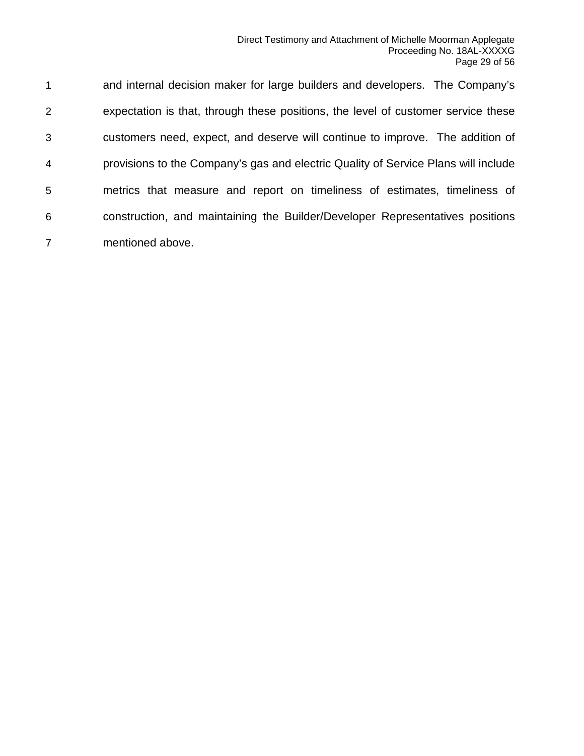and internal decision maker for large builders and developers. The Company's expectation is that, through these positions, the level of customer service these customers need, expect, and deserve will continue to improve. The addition of provisions to the Company's gas and electric Quality of Service Plans will include metrics that measure and report on timeliness of estimates, timeliness of construction, and maintaining the Builder/Developer Representatives positions mentioned above.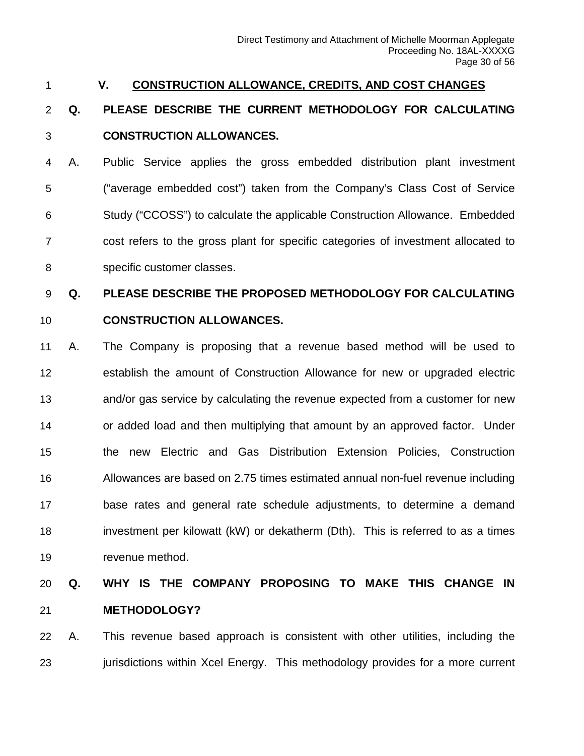#### <span id="page-29-0"></span>**V. CONSTRUCTION ALLOWANCE, CREDITS, AND COST CHANGES**

## **Q. PLEASE DESCRIBE THE CURRENT METHODOLOGY FOR CALCULATING CONSTRUCTION ALLOWANCES.**

 A. Public Service applies the gross embedded distribution plant investment ("average embedded cost") taken from the Company's Class Cost of Service Study ("CCOSS") to calculate the applicable Construction Allowance. Embedded cost refers to the gross plant for specific categories of investment allocated to specific customer classes.

## **Q. PLEASE DESCRIBE THE PROPOSED METHODOLOGY FOR CALCULATING**

#### **CONSTRUCTION ALLOWANCES.**

 A. The Company is proposing that a revenue based method will be used to establish the amount of Construction Allowance for new or upgraded electric and/or gas service by calculating the revenue expected from a customer for new or added load and then multiplying that amount by an approved factor. Under the new Electric and Gas Distribution Extension Policies, Construction Allowances are based on 2.75 times estimated annual non-fuel revenue including base rates and general rate schedule adjustments, to determine a demand investment per kilowatt (kW) or dekatherm (Dth). This is referred to as a times revenue method.

## **Q. WHY IS THE COMPANY PROPOSING TO MAKE THIS CHANGE IN METHODOLOGY?**

 A. This revenue based approach is consistent with other utilities, including the 23 jurisdictions within Xcel Energy. This methodology provides for a more current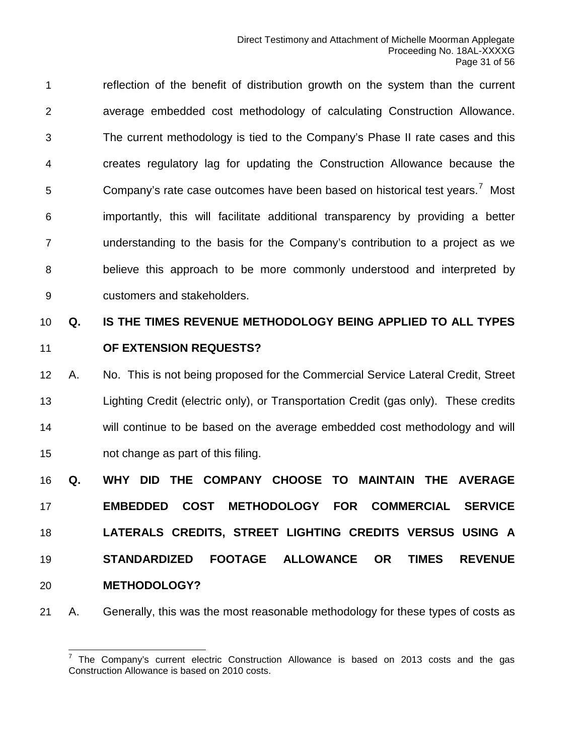reflection of the benefit of distribution growth on the system than the current average embedded cost methodology of calculating Construction Allowance. The current methodology is tied to the Company's Phase II rate cases and this creates regulatory lag for updating the Construction Allowance because the Company's rate case outcomes have been based on historical test years.<sup>[7](#page-30-0)</sup> Most importantly, this will facilitate additional transparency by providing a better understanding to the basis for the Company's contribution to a project as we believe this approach to be more commonly understood and interpreted by customers and stakeholders.

# **Q. IS THE TIMES REVENUE METHODOLOGY BEING APPLIED TO ALL TYPES OF EXTENSION REQUESTS?**

 A. No. This is not being proposed for the Commercial Service Lateral Credit, Street Lighting Credit (electric only), or Transportation Credit (gas only). These credits will continue to be based on the average embedded cost methodology and will not change as part of this filing.

 **Q. WHY DID THE COMPANY CHOOSE TO MAINTAIN THE AVERAGE EMBEDDED COST METHODOLOGY FOR COMMERCIAL SERVICE LATERALS CREDITS, STREET LIGHTING CREDITS VERSUS USING A STANDARDIZED FOOTAGE ALLOWANCE OR TIMES REVENUE METHODOLOGY?**

<span id="page-30-0"></span>A. Generally, this was the most reasonable methodology for these types of costs as

 $^7$  The Company's current electric Construction Allowance is based on 2013 costs and the gas Construction Allowance is based on 2010 costs.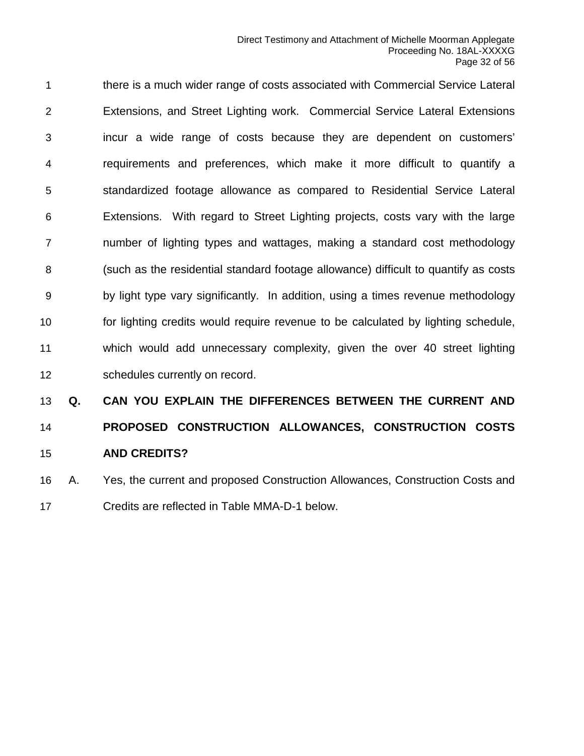there is a much wider range of costs associated with Commercial Service Lateral Extensions, and Street Lighting work. Commercial Service Lateral Extensions incur a wide range of costs because they are dependent on customers' requirements and preferences, which make it more difficult to quantify a standardized footage allowance as compared to Residential Service Lateral Extensions. With regard to Street Lighting projects, costs vary with the large number of lighting types and wattages, making a standard cost methodology (such as the residential standard footage allowance) difficult to quantify as costs by light type vary significantly. In addition, using a times revenue methodology for lighting credits would require revenue to be calculated by lighting schedule, which would add unnecessary complexity, given the over 40 street lighting schedules currently on record.

# **Q. CAN YOU EXPLAIN THE DIFFERENCES BETWEEN THE CURRENT AND PROPOSED CONSTRUCTION ALLOWANCES, CONSTRUCTION COSTS AND CREDITS?**

 A. Yes, the current and proposed Construction Allowances, Construction Costs and Credits are reflected in Table MMA-D-1 below.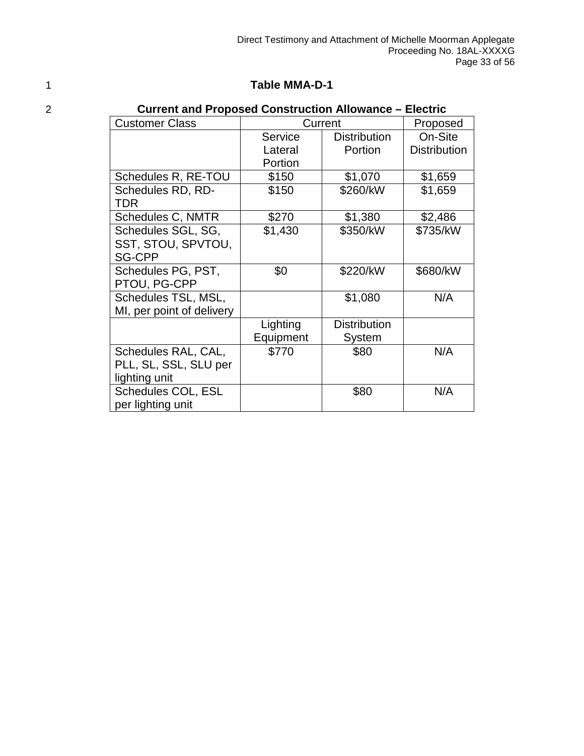#### 1 **Table MMA-D-1**

| 2 | <b>Current and Proposed Construction Allowance – Electric</b> |           |                     |                     |
|---|---------------------------------------------------------------|-----------|---------------------|---------------------|
|   | <b>Customer Class</b>                                         |           | Current             | Proposed            |
|   |                                                               | Service   | <b>Distribution</b> | On-Site             |
|   |                                                               | Lateral   | Portion             | <b>Distribution</b> |
|   |                                                               | Portion   |                     |                     |
|   | Schedules R, RE-TOU                                           | \$150     | \$1,070             | \$1,659             |
|   | Schedules RD, RD-                                             | \$150     | \$260/kW            | \$1,659             |
|   | TDR                                                           |           |                     |                     |
|   | Schedules C, NMTR                                             | \$270     | \$1,380             | \$2,486             |
|   | Schedules SGL, SG,                                            | \$1,430   | \$350/kW            | \$735/kW            |
|   | SST, STOU, SPVTOU,                                            |           |                     |                     |
|   | <b>SG-CPP</b>                                                 |           |                     |                     |
|   | Schedules PG, PST,                                            | \$0       | \$220/kW            | \$680/kW            |
|   | PTOU, PG-CPP                                                  |           |                     |                     |
|   | Schedules TSL, MSL,                                           |           | \$1,080             | N/A                 |
|   | MI, per point of delivery                                     |           |                     |                     |
|   |                                                               | Lighting  | <b>Distribution</b> |                     |
|   |                                                               | Equipment | System              |                     |
|   | Schedules RAL, CAL,                                           | \$770     | \$80                | N/A                 |
|   | PLL, SL, SSL, SLU per                                         |           |                     |                     |
|   | lighting unit                                                 |           |                     |                     |
|   | Schedules COL, ESL                                            |           | \$80                | N/A                 |
|   | per lighting unit                                             |           |                     |                     |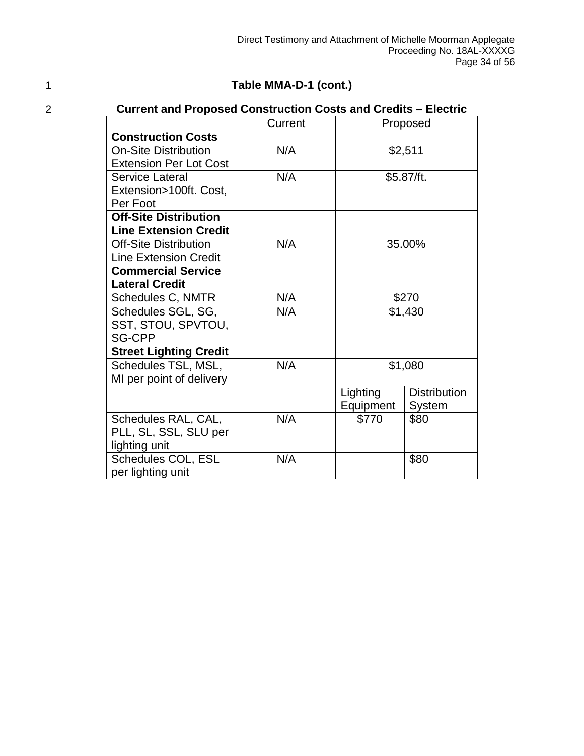#### 1 **Table MMA-D-1 (cont.)**

### 2 **Current and Proposed Construction Costs and Credits – Electric**

|                               | Current     | Proposed  |                     |  |
|-------------------------------|-------------|-----------|---------------------|--|
| <b>Construction Costs</b>     |             |           |                     |  |
| <b>On-Site Distribution</b>   | N/A         |           | \$2,511             |  |
| <b>Extension Per Lot Cost</b> |             |           |                     |  |
| Service Lateral               | N/A         |           | \$5.87/ft.          |  |
| Extension>100ft. Cost,        |             |           |                     |  |
| Per Foot                      |             |           |                     |  |
| <b>Off-Site Distribution</b>  |             |           |                     |  |
| <b>Line Extension Credit</b>  |             |           |                     |  |
| <b>Off-Site Distribution</b>  | N/A         |           | 35.00%              |  |
| <b>Line Extension Credit</b>  |             |           |                     |  |
| <b>Commercial Service</b>     |             |           |                     |  |
| <b>Lateral Credit</b>         |             |           |                     |  |
| Schedules C, NMTR             | N/A         | \$270     |                     |  |
| Schedules SGL, SG,            | N/A         | \$1,430   |                     |  |
| SST, STOU, SPVTOU,            |             |           |                     |  |
| <b>SG-CPP</b>                 |             |           |                     |  |
| <b>Street Lighting Credit</b> |             |           |                     |  |
| Schedules TSL, MSL,           | N/A         | \$1,080   |                     |  |
| MI per point of delivery      |             |           |                     |  |
|                               |             | Lighting  | <b>Distribution</b> |  |
|                               |             | Equipment | System              |  |
| Schedules RAL, CAL,           | N/A         | \$770     | \$80                |  |
| PLL, SL, SSL, SLU per         |             |           |                     |  |
| lighting unit                 |             |           |                     |  |
| Schedules COL, ESL            | N/A<br>\$80 |           |                     |  |
| per lighting unit             |             |           |                     |  |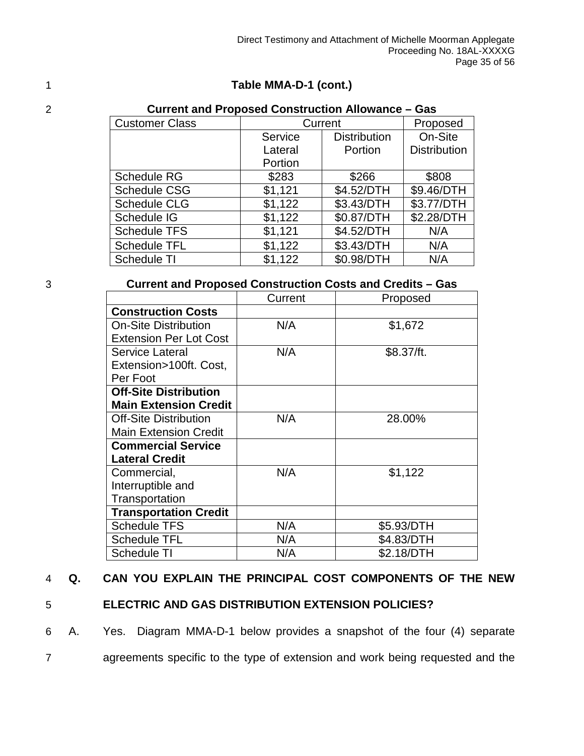#### 1 **Table MMA-D-1 (cont.)**

| 2 | <b>Current and Proposed Construction Allowance - Gas</b> |         |                     |                     |  |  |  |
|---|----------------------------------------------------------|---------|---------------------|---------------------|--|--|--|
|   | <b>Customer Class</b>                                    |         | Current             | Proposed            |  |  |  |
|   |                                                          | Service | <b>Distribution</b> | On-Site             |  |  |  |
|   |                                                          | Lateral | Portion             | <b>Distribution</b> |  |  |  |
|   |                                                          | Portion |                     |                     |  |  |  |
|   | Schedule RG                                              | \$283   | \$266               | \$808               |  |  |  |
|   | <b>Schedule CSG</b>                                      | \$1,121 | \$4.52/DTH          | \$9.46/DTH          |  |  |  |
|   | <b>Schedule CLG</b>                                      | \$1,122 | \$3.43/DTH          | \$3.77/DTH          |  |  |  |
|   | Schedule IG                                              | \$1,122 | \$0.87/DTH          | \$2.28/DTH          |  |  |  |
|   | <b>Schedule TFS</b>                                      | \$1,121 | \$4.52/DTH          | N/A                 |  |  |  |
|   | <b>Schedule TFL</b>                                      | \$1,122 | \$3.43/DTH          | N/A                 |  |  |  |
|   | Schedule TI                                              | \$1,122 | \$0.98/DTH          | N/A                 |  |  |  |
|   |                                                          |         |                     |                     |  |  |  |

#### 3 **Current and Proposed Construction Costs and Credits – Gas**

|                               | Current | Proposed   |
|-------------------------------|---------|------------|
| <b>Construction Costs</b>     |         |            |
| <b>On-Site Distribution</b>   | N/A     | \$1,672    |
| <b>Extension Per Lot Cost</b> |         |            |
| Service Lateral               | N/A     | \$8.37/ft. |
| Extension>100ft. Cost,        |         |            |
| Per Foot                      |         |            |
| <b>Off-Site Distribution</b>  |         |            |
| <b>Main Extension Credit</b>  |         |            |
| <b>Off-Site Distribution</b>  | N/A     | 28.00%     |
| <b>Main Extension Credit</b>  |         |            |
| <b>Commercial Service</b>     |         |            |
| <b>Lateral Credit</b>         |         |            |
| Commercial,                   | N/A     | \$1,122    |
| Interruptible and             |         |            |
| Transportation                |         |            |
| <b>Transportation Credit</b>  |         |            |
| <b>Schedule TFS</b>           | N/A     | \$5.93/DTH |
| <b>Schedule TFL</b>           | N/A     | \$4.83/DTH |
| <b>Schedule TI</b>            | N/A     | \$2.18/DTH |

#### 4 **Q. CAN YOU EXPLAIN THE PRINCIPAL COST COMPONENTS OF THE NEW**

5 **ELECTRIC AND GAS DISTRIBUTION EXTENSION POLICIES?**

6 A. Yes. Diagram MMA-D-1 below provides a snapshot of the four (4) separate 7 agreements specific to the type of extension and work being requested and the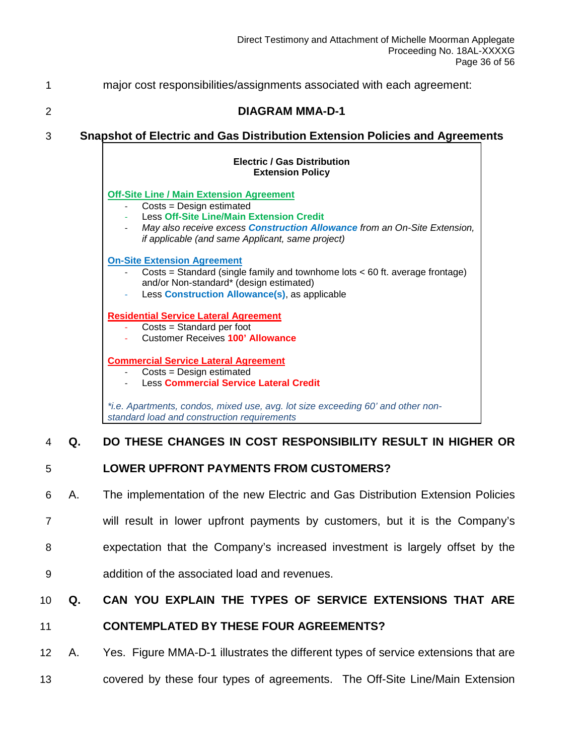1 major cost responsibilities/assignments associated with each agreement:

#### 2 **DIAGRAM MMA-D-1**

#### 3 **Snapshot of Electric and Gas Distribution Extension Policies and Agreements**

#### **Electric / Gas Distribution Extension Policy**

#### **Off-Site Line / Main Extension Agreement**

- Costs = Design estimated
- Less Off-Site Line/Main Extension Credit
- *May also receive excess Construction Allowance from an On-Site Extension, if applicable (and same Applicant, same project)*

#### **On-Site Extension Agreement**

- $Costs = Standard$  (single family and townhome lots  $< 60$  ft. average frontage) and/or Non-standard\* (design estimated)
- Less **Construction Allowance(s)**, as applicable

#### **Residential Service Lateral Agreement**

- $\text{Costs} = \text{Standard per foot}$
- Customer Receives **100' Allowance**

#### **Commercial Service Lateral Agreement**

- Costs = Design estimated
- Less **Commercial Service Lateral Credit**

*\*i.e. Apartments, condos, mixed use, avg. lot size exceeding 60' and other nonstandard load and construction requirements*

#### 4 **Q. DO THESE CHANGES IN COST RESPONSIBILITY RESULT IN HIGHER OR**

#### 5 **LOWER UPFRONT PAYMENTS FROM CUSTOMERS?**

- 6 A. The implementation of the new Electric and Gas Distribution Extension Policies
- 7 will result in lower upfront payments by customers, but it is the Company's
- 8 expectation that the Company's increased investment is largely offset by the
- 9 addition of the associated load and revenues.

#### 10 **Q. CAN YOU EXPLAIN THE TYPES OF SERVICE EXTENSIONS THAT ARE**

#### 11 **CONTEMPLATED BY THESE FOUR AGREEMENTS?**

- 12 A. Yes. Figure MMA-D-1 illustrates the different types of service extensions that are
- 13 covered by these four types of agreements. The Off-Site Line/Main Extension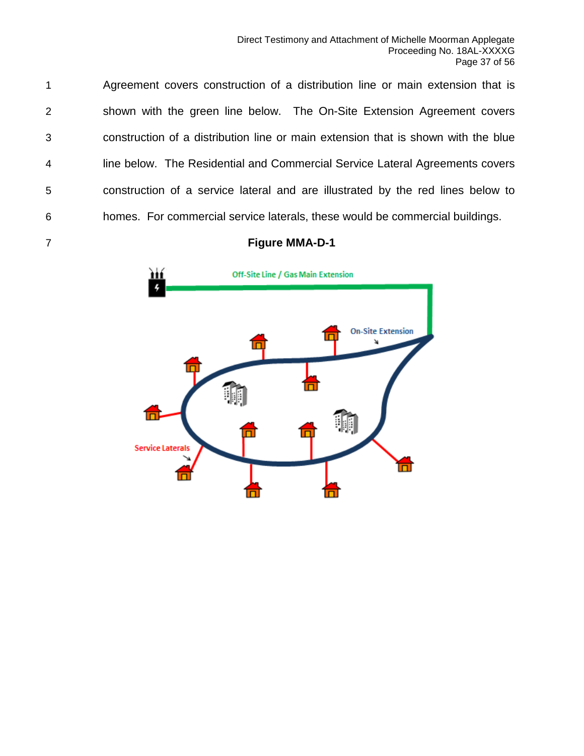Agreement covers construction of a distribution line or main extension that is shown with the green line below. The On-Site Extension Agreement covers construction of a distribution line or main extension that is shown with the blue line below. The Residential and Commercial Service Lateral Agreements covers construction of a service lateral and are illustrated by the red lines below to homes. For commercial service laterals, these would be commercial buildings.

#### **Figure MMA-D-1**

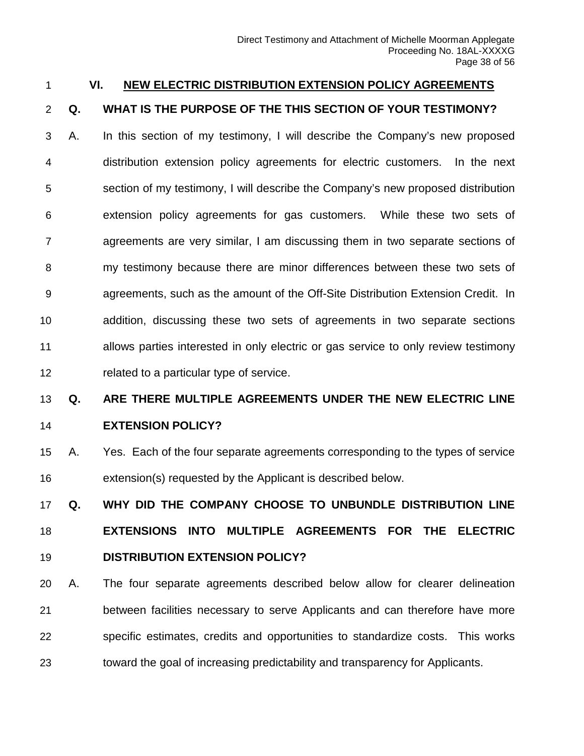#### <span id="page-37-0"></span>**VI. NEW ELECTRIC DISTRIBUTION EXTENSION POLICY AGREEMENTS**

#### **Q. WHAT IS THE PURPOSE OF THE THIS SECTION OF YOUR TESTIMONY?**

 A. In this section of my testimony, I will describe the Company's new proposed distribution extension policy agreements for electric customers. In the next section of my testimony, I will describe the Company's new proposed distribution extension policy agreements for gas customers. While these two sets of agreements are very similar, I am discussing them in two separate sections of my testimony because there are minor differences between these two sets of agreements, such as the amount of the Off-Site Distribution Extension Credit. In addition, discussing these two sets of agreements in two separate sections allows parties interested in only electric or gas service to only review testimony related to a particular type of service.

### **Q. ARE THERE MULTIPLE AGREEMENTS UNDER THE NEW ELECTRIC LINE**

### **EXTENSION POLICY?**

 A. Yes. Each of the four separate agreements corresponding to the types of service extension(s) requested by the Applicant is described below.

 **Q. WHY DID THE COMPANY CHOOSE TO UNBUNDLE DISTRIBUTION LINE EXTENSIONS INTO MULTIPLE AGREEMENTS FOR THE ELECTRIC DISTRIBUTION EXTENSION POLICY?**

 A. The four separate agreements described below allow for clearer delineation between facilities necessary to serve Applicants and can therefore have more specific estimates, credits and opportunities to standardize costs. This works toward the goal of increasing predictability and transparency for Applicants.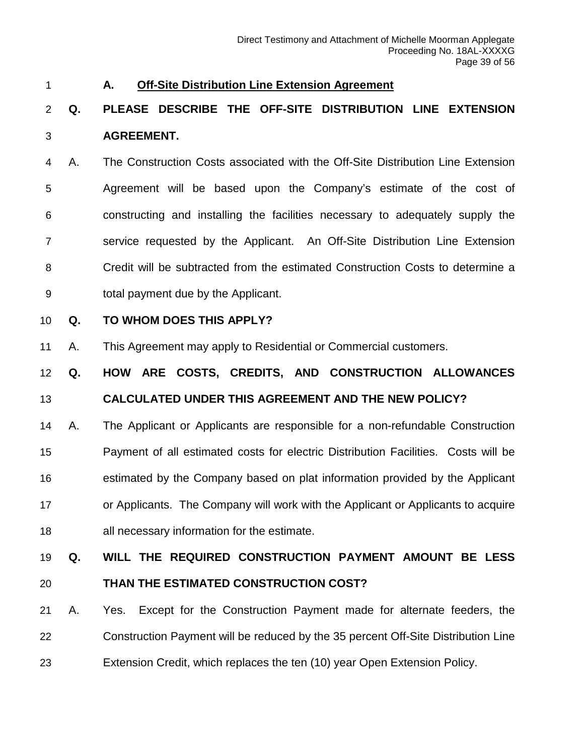#### <span id="page-38-0"></span>**A. Off-Site Distribution Line Extension Agreement**

### **Q. PLEASE DESCRIBE THE OFF-SITE DISTRIBUTION LINE EXTENSION AGREEMENT.**

 A. The Construction Costs associated with the Off-Site Distribution Line Extension Agreement will be based upon the Company's estimate of the cost of constructing and installing the facilities necessary to adequately supply the service requested by the Applicant. An Off-Site Distribution Line Extension Credit will be subtracted from the estimated Construction Costs to determine a total payment due by the Applicant.

#### **Q. TO WHOM DOES THIS APPLY?**

A. This Agreement may apply to Residential or Commercial customers.

**Q. HOW ARE COSTS, CREDITS, AND CONSTRUCTION ALLOWANCES** 

#### **CALCULATED UNDER THIS AGREEMENT AND THE NEW POLICY?**

 A. The Applicant or Applicants are responsible for a non-refundable Construction Payment of all estimated costs for electric Distribution Facilities. Costs will be estimated by the Company based on plat information provided by the Applicant or Applicants. The Company will work with the Applicant or Applicants to acquire all necessary information for the estimate.

#### **Q. WILL THE REQUIRED CONSTRUCTION PAYMENT AMOUNT BE LESS**

### **THAN THE ESTIMATED CONSTRUCTION COST?**

 A. Yes. Except for the Construction Payment made for alternate feeders, the Construction Payment will be reduced by the 35 percent Off-Site Distribution Line Extension Credit, which replaces the ten (10) year Open Extension Policy.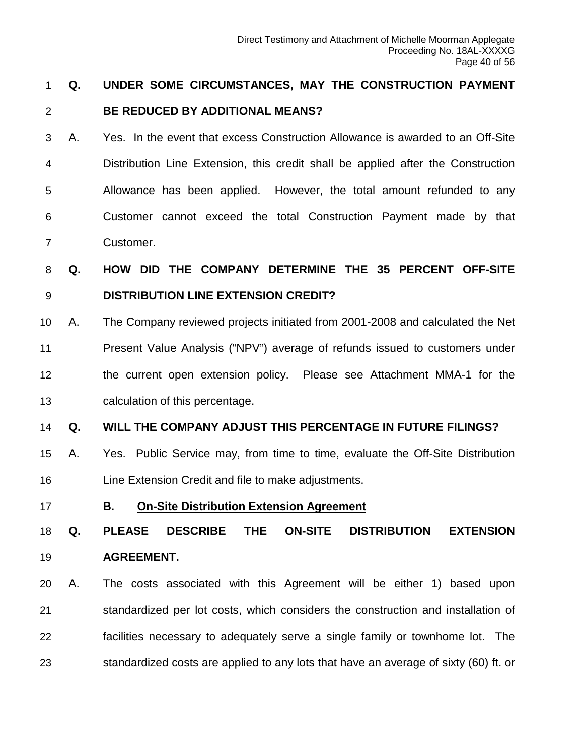#### **Q. UNDER SOME CIRCUMSTANCES, MAY THE CONSTRUCTION PAYMENT**

#### **BE REDUCED BY ADDITIONAL MEANS?**

 A. Yes. In the event that excess Construction Allowance is awarded to an Off-Site Distribution Line Extension, this credit shall be applied after the Construction Allowance has been applied. However, the total amount refunded to any Customer cannot exceed the total Construction Payment made by that Customer.

 **Q. HOW DID THE COMPANY DETERMINE THE 35 PERCENT OFF-SITE DISTRIBUTION LINE EXTENSION CREDIT?**

 A. The Company reviewed projects initiated from 2001-2008 and calculated the Net Present Value Analysis ("NPV") average of refunds issued to customers under the current open extension policy. Please see Attachment MMA-1 for the calculation of this percentage.

#### **Q. WILL THE COMPANY ADJUST THIS PERCENTAGE IN FUTURE FILINGS?**

- A. Yes. Public Service may, from time to time, evaluate the Off-Site Distribution Line Extension Credit and file to make adjustments.
- 

#### <span id="page-39-0"></span>**B. On-Site Distribution Extension Agreement**

 **Q. PLEASE DESCRIBE THE ON-SITE DISTRIBUTION EXTENSION AGREEMENT.**

 A. The costs associated with this Agreement will be either 1) based upon standardized per lot costs, which considers the construction and installation of facilities necessary to adequately serve a single family or townhome lot. The standardized costs are applied to any lots that have an average of sixty (60) ft. or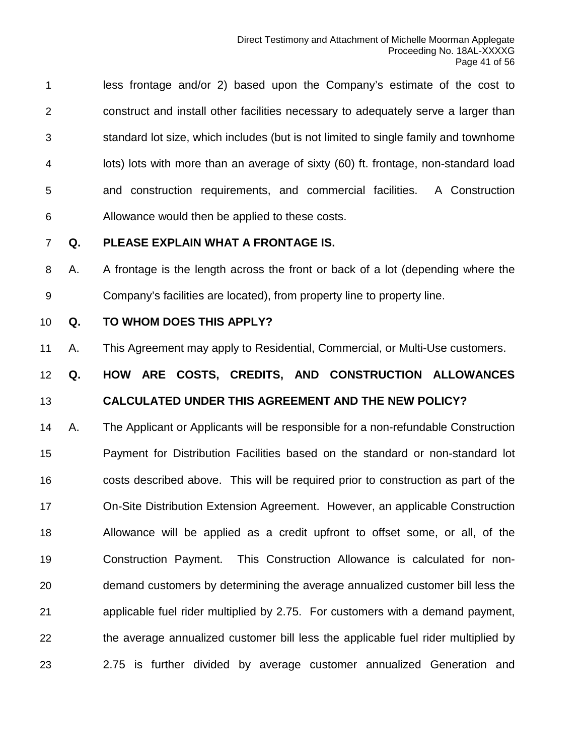less frontage and/or 2) based upon the Company's estimate of the cost to construct and install other facilities necessary to adequately serve a larger than standard lot size, which includes (but is not limited to single family and townhome lots) lots with more than an average of sixty (60) ft. frontage, non-standard load and construction requirements, and commercial facilities. A Construction Allowance would then be applied to these costs.

#### **Q. PLEASE EXPLAIN WHAT A FRONTAGE IS.**

 A. A frontage is the length across the front or back of a lot (depending where the Company's facilities are located), from property line to property line.

#### **Q. TO WHOM DOES THIS APPLY?**

A. This Agreement may apply to Residential, Commercial, or Multi-Use customers.

### **Q. HOW ARE COSTS, CREDITS, AND CONSTRUCTION ALLOWANCES CALCULATED UNDER THIS AGREEMENT AND THE NEW POLICY?**

 A. The Applicant or Applicants will be responsible for a non-refundable Construction Payment for Distribution Facilities based on the standard or non-standard lot costs described above. This will be required prior to construction as part of the On-Site Distribution Extension Agreement. However, an applicable Construction Allowance will be applied as a credit upfront to offset some, or all, of the Construction Payment. This Construction Allowance is calculated for non- demand customers by determining the average annualized customer bill less the applicable fuel rider multiplied by 2.75. For customers with a demand payment, the average annualized customer bill less the applicable fuel rider multiplied by 2.75 is further divided by average customer annualized Generation and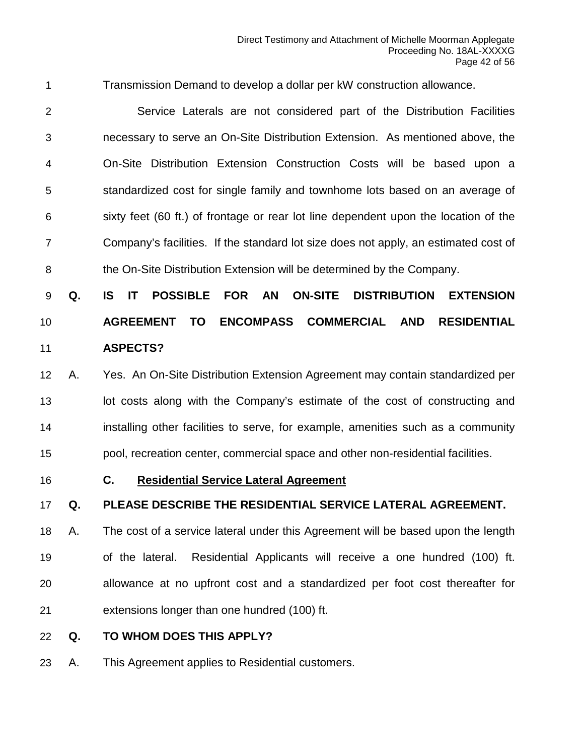Transmission Demand to develop a dollar per kW construction allowance.

 Service Laterals are not considered part of the Distribution Facilities necessary to serve an On-Site Distribution Extension. As mentioned above, the On-Site Distribution Extension Construction Costs will be based upon a standardized cost for single family and townhome lots based on an average of sixty feet (60 ft.) of frontage or rear lot line dependent upon the location of the Company's facilities. If the standard lot size does not apply, an estimated cost of the On-Site Distribution Extension will be determined by the Company.

# **Q. IS IT POSSIBLE FOR AN ON-SITE DISTRIBUTION EXTENSION AGREEMENT TO ENCOMPASS COMMERCIAL AND RESIDENTIAL ASPECTS?**

# A. Yes. An On-Site Distribution Extension Agreement may contain standardized per 13 lot costs along with the Company's estimate of the cost of constructing and installing other facilities to serve, for example, amenities such as a community pool, recreation center, commercial space and other non-residential facilities.

#### <span id="page-41-0"></span>**C. Residential Service Lateral Agreement**

#### **Q. PLEASE DESCRIBE THE RESIDENTIAL SERVICE LATERAL AGREEMENT.**

 A. The cost of a service lateral under this Agreement will be based upon the length of the lateral. Residential Applicants will receive a one hundred (100) ft. allowance at no upfront cost and a standardized per foot cost thereafter for extensions longer than one hundred (100) ft.

#### **Q. TO WHOM DOES THIS APPLY?**

A. This Agreement applies to Residential customers.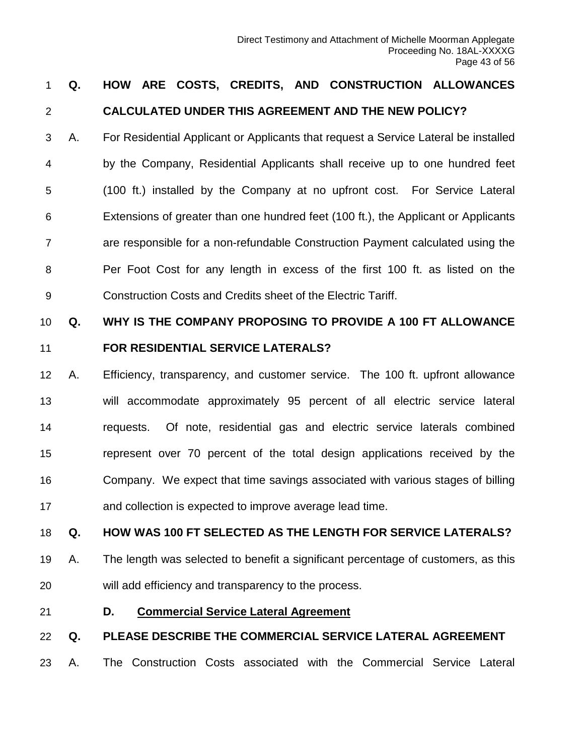### **Q. HOW ARE COSTS, CREDITS, AND CONSTRUCTION ALLOWANCES CALCULATED UNDER THIS AGREEMENT AND THE NEW POLICY?**

 A. For Residential Applicant or Applicants that request a Service Lateral be installed by the Company, Residential Applicants shall receive up to one hundred feet (100 ft.) installed by the Company at no upfront cost. For Service Lateral Extensions of greater than one hundred feet (100 ft.), the Applicant or Applicants are responsible for a non-refundable Construction Payment calculated using the Per Foot Cost for any length in excess of the first 100 ft. as listed on the Construction Costs and Credits sheet of the Electric Tariff.

# **Q. WHY IS THE COMPANY PROPOSING TO PROVIDE A 100 FT ALLOWANCE FOR RESIDENTIAL SERVICE LATERALS?**

 A. Efficiency, transparency, and customer service. The 100 ft. upfront allowance will accommodate approximately 95 percent of all electric service lateral requests. Of note, residential gas and electric service laterals combined represent over 70 percent of the total design applications received by the Company. We expect that time savings associated with various stages of billing and collection is expected to improve average lead time.

#### **Q. HOW WAS 100 FT SELECTED AS THE LENGTH FOR SERVICE LATERALS?**

- A. The length was selected to benefit a significant percentage of customers, as this will add efficiency and transparency to the process.
- <span id="page-42-0"></span>**D. Commercial Service Lateral Agreement**

#### **Q. PLEASE DESCRIBE THE COMMERCIAL SERVICE LATERAL AGREEMENT**

A. The Construction Costs associated with the Commercial Service Lateral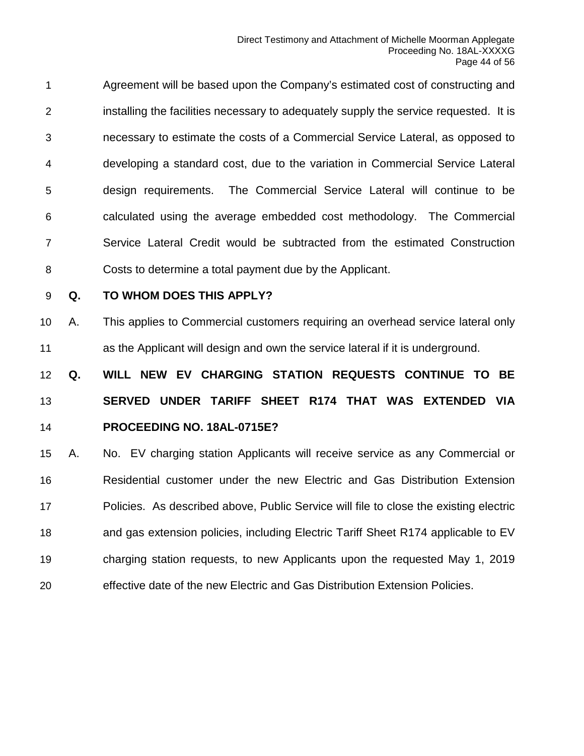Agreement will be based upon the Company's estimated cost of constructing and installing the facilities necessary to adequately supply the service requested. It is necessary to estimate the costs of a Commercial Service Lateral, as opposed to developing a standard cost, due to the variation in Commercial Service Lateral design requirements. The Commercial Service Lateral will continue to be calculated using the average embedded cost methodology. The Commercial Service Lateral Credit would be subtracted from the estimated Construction Costs to determine a total payment due by the Applicant.

#### **Q. TO WHOM DOES THIS APPLY?**

 A. This applies to Commercial customers requiring an overhead service lateral only as the Applicant will design and own the service lateral if it is underground.

 **Q. WILL NEW EV CHARGING STATION REQUESTS CONTINUE TO BE SERVED UNDER TARIFF SHEET R174 THAT WAS EXTENDED VIA PROCEEDING NO. 18AL-0715E?**

 A. No. EV charging station Applicants will receive service as any Commercial or Residential customer under the new Electric and Gas Distribution Extension Policies. As described above, Public Service will file to close the existing electric and gas extension policies, including Electric Tariff Sheet R174 applicable to EV charging station requests, to new Applicants upon the requested May 1, 2019 effective date of the new Electric and Gas Distribution Extension Policies.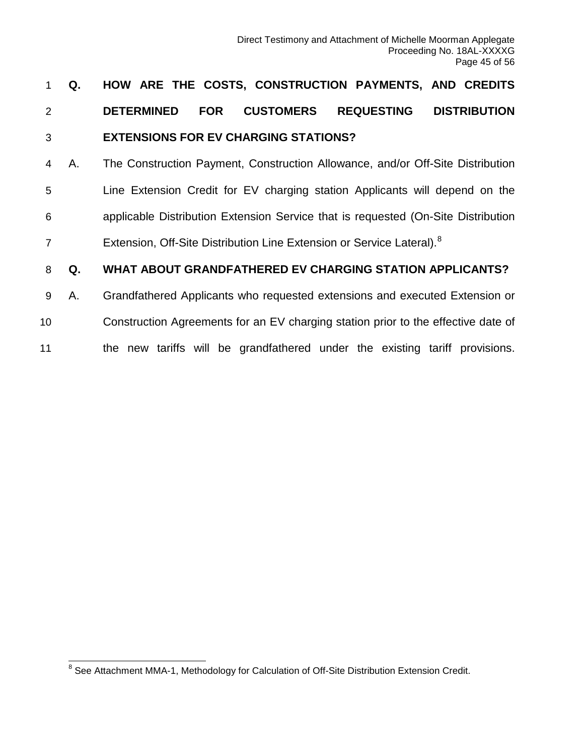# 1 **Q. HOW ARE THE COSTS, CONSTRUCTION PAYMENTS, AND CREDITS**  2 **DETERMINED FOR CUSTOMERS REQUESTING DISTRIBUTION**  3 **EXTENSIONS FOR EV CHARGING STATIONS?**

 A. The Construction Payment, Construction Allowance, and/or Off-Site Distribution Line Extension Credit for EV charging station Applicants will depend on the applicable Distribution Extension Service that is requested (On-Site Distribution 7 Extension, Off-Site Distribution Line Extension or Service Lateral).<sup>[8](#page-44-0)</sup>

#### 8 **Q. WHAT ABOUT GRANDFATHERED EV CHARGING STATION APPLICANTS?**

- 9 A. Grandfathered Applicants who requested extensions and executed Extension or
- 10 Construction Agreements for an EV charging station prior to the effective date of
- 11 the new tariffs will be grandfathered under the existing tariff provisions.

<span id="page-44-0"></span><sup>&</sup>lt;sup>8</sup> See Attachment MMA-1, Methodology for Calculation of Off-Site Distribution Extension Credit.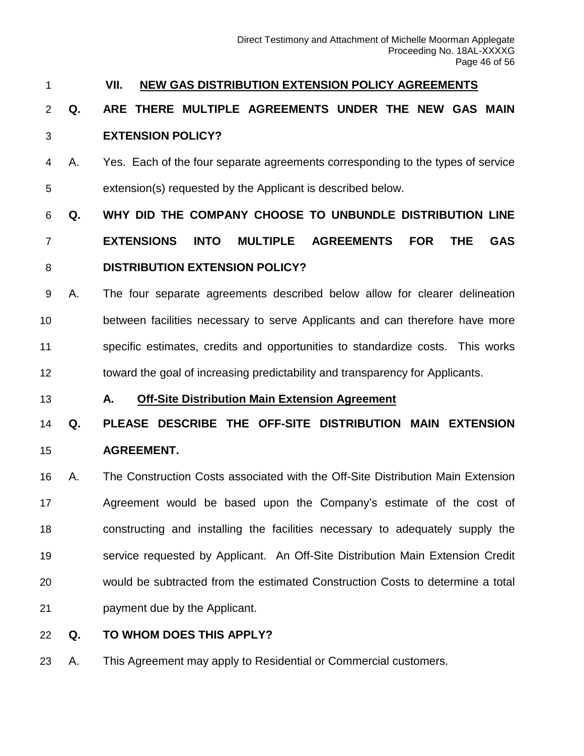#### <span id="page-45-0"></span>**VII. NEW GAS DISTRIBUTION EXTENSION POLICY AGREEMENTS**

### **Q. ARE THERE MULTIPLE AGREEMENTS UNDER THE NEW GAS MAIN EXTENSION POLICY?**

 A. Yes. Each of the four separate agreements corresponding to the types of service extension(s) requested by the Applicant is described below.

# **Q. WHY DID THE COMPANY CHOOSE TO UNBUNDLE DISTRIBUTION LINE EXTENSIONS INTO MULTIPLE AGREEMENTS FOR THE GAS DISTRIBUTION EXTENSION POLICY?**

# A. The four separate agreements described below allow for clearer delineation between facilities necessary to serve Applicants and can therefore have more specific estimates, credits and opportunities to standardize costs. This works toward the goal of increasing predictability and transparency for Applicants.

<span id="page-45-1"></span>**A. Off-Site Distribution Main Extension Agreement**

# **Q. PLEASE DESCRIBE THE OFF-SITE DISTRIBUTION MAIN EXTENSION AGREEMENT.**

 A. The Construction Costs associated with the Off-Site Distribution Main Extension Agreement would be based upon the Company's estimate of the cost of constructing and installing the facilities necessary to adequately supply the service requested by Applicant. An Off-Site Distribution Main Extension Credit would be subtracted from the estimated Construction Costs to determine a total payment due by the Applicant.

#### **Q. TO WHOM DOES THIS APPLY?**

A. This Agreement may apply to Residential or Commercial customers.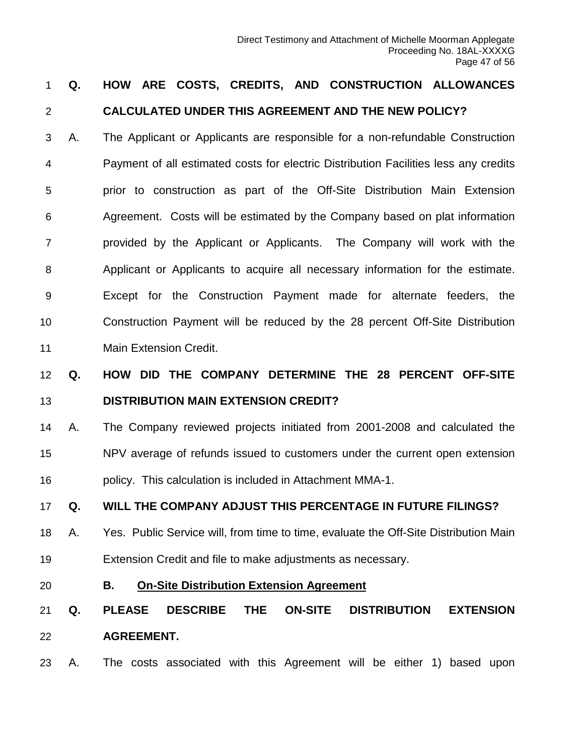# **Q. HOW ARE COSTS, CREDITS, AND CONSTRUCTION ALLOWANCES CALCULATED UNDER THIS AGREEMENT AND THE NEW POLICY?**

 A. The Applicant or Applicants are responsible for a non-refundable Construction Payment of all estimated costs for electric Distribution Facilities less any credits prior to construction as part of the Off-Site Distribution Main Extension Agreement. Costs will be estimated by the Company based on plat information provided by the Applicant or Applicants. The Company will work with the Applicant or Applicants to acquire all necessary information for the estimate. Except for the Construction Payment made for alternate feeders, the Construction Payment will be reduced by the 28 percent Off-Site Distribution Main Extension Credit.

# **Q. HOW DID THE COMPANY DETERMINE THE 28 PERCENT OFF-SITE DISTRIBUTION MAIN EXTENSION CREDIT?**

 A. The Company reviewed projects initiated from 2001-2008 and calculated the NPV average of refunds issued to customers under the current open extension policy. This calculation is included in Attachment MMA-1.

#### **Q. WILL THE COMPANY ADJUST THIS PERCENTAGE IN FUTURE FILINGS?**

- A. Yes. Public Service will, from time to time, evaluate the Off-Site Distribution Main Extension Credit and file to make adjustments as necessary.
- <span id="page-46-0"></span>

#### **B. On-Site Distribution Extension Agreement**

# **Q. PLEASE DESCRIBE THE ON-SITE DISTRIBUTION EXTENSION AGREEMENT.**

A. The costs associated with this Agreement will be either 1) based upon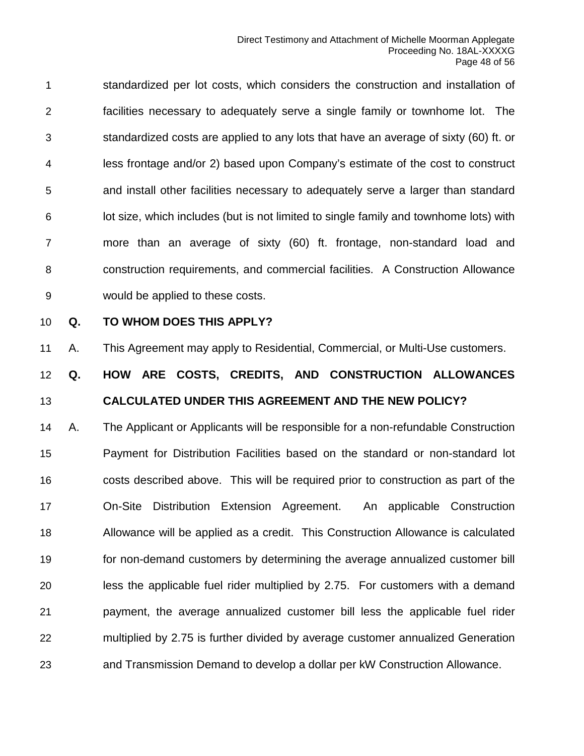standardized per lot costs, which considers the construction and installation of facilities necessary to adequately serve a single family or townhome lot. The standardized costs are applied to any lots that have an average of sixty (60) ft. or less frontage and/or 2) based upon Company's estimate of the cost to construct and install other facilities necessary to adequately serve a larger than standard lot size, which includes (but is not limited to single family and townhome lots) with more than an average of sixty (60) ft. frontage, non-standard load and construction requirements, and commercial facilities. A Construction Allowance would be applied to these costs.

#### **Q. TO WHOM DOES THIS APPLY?**

A. This Agreement may apply to Residential, Commercial, or Multi-Use customers.

### **Q. HOW ARE COSTS, CREDITS, AND CONSTRUCTION ALLOWANCES CALCULATED UNDER THIS AGREEMENT AND THE NEW POLICY?**

 A. The Applicant or Applicants will be responsible for a non-refundable Construction Payment for Distribution Facilities based on the standard or non-standard lot costs described above. This will be required prior to construction as part of the On-Site Distribution Extension Agreement. An applicable Construction Allowance will be applied as a credit. This Construction Allowance is calculated for non-demand customers by determining the average annualized customer bill less the applicable fuel rider multiplied by 2.75. For customers with a demand payment, the average annualized customer bill less the applicable fuel rider multiplied by 2.75 is further divided by average customer annualized Generation and Transmission Demand to develop a dollar per kW Construction Allowance.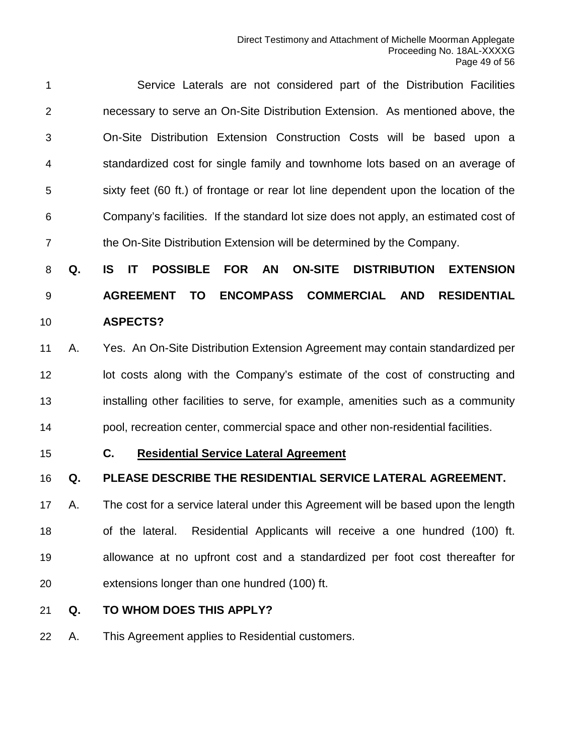Service Laterals are not considered part of the Distribution Facilities necessary to serve an On-Site Distribution Extension. As mentioned above, the On-Site Distribution Extension Construction Costs will be based upon a standardized cost for single family and townhome lots based on an average of sixty feet (60 ft.) of frontage or rear lot line dependent upon the location of the Company's facilities. If the standard lot size does not apply, an estimated cost of the On-Site Distribution Extension will be determined by the Company.

 **Q. IS IT POSSIBLE FOR AN ON-SITE DISTRIBUTION EXTENSION AGREEMENT TO ENCOMPASS COMMERCIAL AND RESIDENTIAL ASPECTS?**

 A. Yes. An On-Site Distribution Extension Agreement may contain standardized per 12 lot costs along with the Company's estimate of the cost of constructing and installing other facilities to serve, for example, amenities such as a community pool, recreation center, commercial space and other non-residential facilities.

#### <span id="page-48-0"></span>**C. Residential Service Lateral Agreement**

#### **Q. PLEASE DESCRIBE THE RESIDENTIAL SERVICE LATERAL AGREEMENT.**

 A. The cost for a service lateral under this Agreement will be based upon the length of the lateral. Residential Applicants will receive a one hundred (100) ft. allowance at no upfront cost and a standardized per foot cost thereafter for extensions longer than one hundred (100) ft.

#### **Q. TO WHOM DOES THIS APPLY?**

A. This Agreement applies to Residential customers.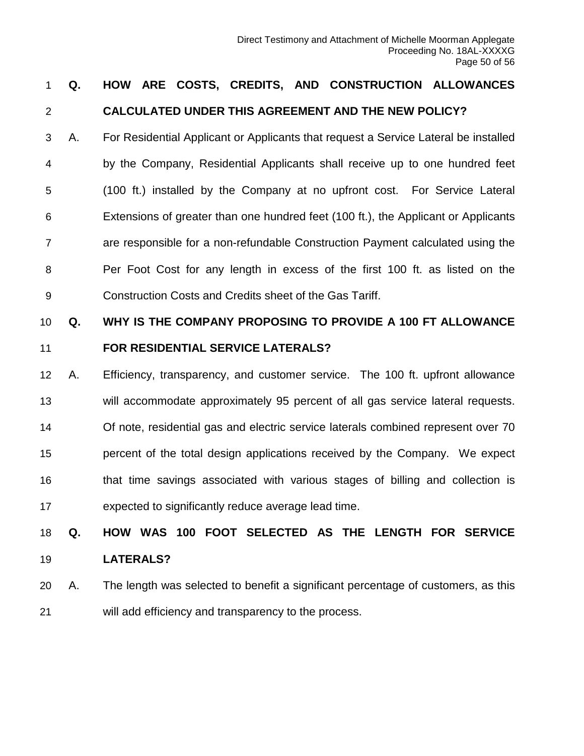## **Q. HOW ARE COSTS, CREDITS, AND CONSTRUCTION ALLOWANCES CALCULATED UNDER THIS AGREEMENT AND THE NEW POLICY?**

 A. For Residential Applicant or Applicants that request a Service Lateral be installed by the Company, Residential Applicants shall receive up to one hundred feet (100 ft.) installed by the Company at no upfront cost. For Service Lateral Extensions of greater than one hundred feet (100 ft.), the Applicant or Applicants are responsible for a non-refundable Construction Payment calculated using the Per Foot Cost for any length in excess of the first 100 ft. as listed on the Construction Costs and Credits sheet of the Gas Tariff.

# **Q. WHY IS THE COMPANY PROPOSING TO PROVIDE A 100 FT ALLOWANCE FOR RESIDENTIAL SERVICE LATERALS?**

 A. Efficiency, transparency, and customer service. The 100 ft. upfront allowance will accommodate approximately 95 percent of all gas service lateral requests. Of note, residential gas and electric service laterals combined represent over 70 percent of the total design applications received by the Company. We expect that time savings associated with various stages of billing and collection is expected to significantly reduce average lead time.

# **Q. HOW WAS 100 FOOT SELECTED AS THE LENGTH FOR SERVICE LATERALS?**

 A. The length was selected to benefit a significant percentage of customers, as this will add efficiency and transparency to the process.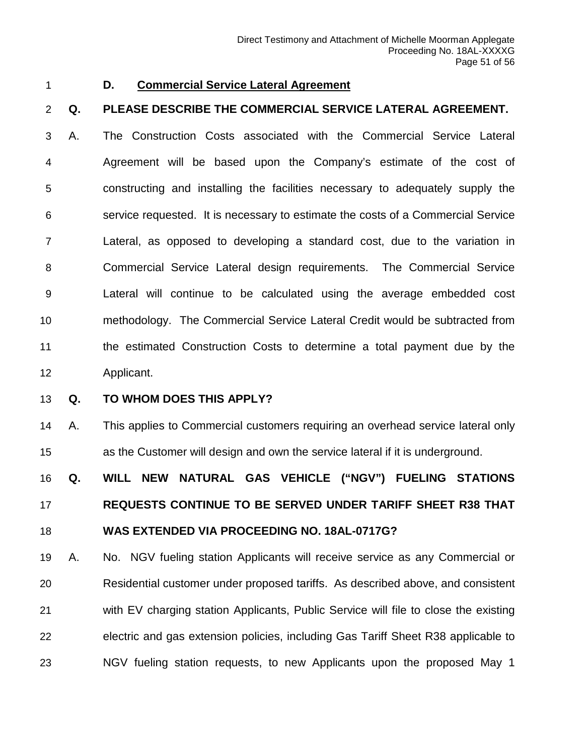#### <span id="page-50-0"></span>**D. Commercial Service Lateral Agreement**

#### **Q. PLEASE DESCRIBE THE COMMERCIAL SERVICE LATERAL AGREEMENT.**

 A. The Construction Costs associated with the Commercial Service Lateral Agreement will be based upon the Company's estimate of the cost of constructing and installing the facilities necessary to adequately supply the service requested. It is necessary to estimate the costs of a Commercial Service Lateral, as opposed to developing a standard cost, due to the variation in Commercial Service Lateral design requirements. The Commercial Service Lateral will continue to be calculated using the average embedded cost methodology. The Commercial Service Lateral Credit would be subtracted from the estimated Construction Costs to determine a total payment due by the Applicant.

#### **Q. TO WHOM DOES THIS APPLY?**

 A. This applies to Commercial customers requiring an overhead service lateral only as the Customer will design and own the service lateral if it is underground.

 **Q. WILL NEW NATURAL GAS VEHICLE ("NGV") FUELING STATIONS REQUESTS CONTINUE TO BE SERVED UNDER TARIFF SHEET R38 THAT WAS EXTENDED VIA PROCEEDING NO. 18AL-0717G?**

 A. No. NGV fueling station Applicants will receive service as any Commercial or Residential customer under proposed tariffs. As described above, and consistent with EV charging station Applicants, Public Service will file to close the existing electric and gas extension policies, including Gas Tariff Sheet R38 applicable to NGV fueling station requests, to new Applicants upon the proposed May 1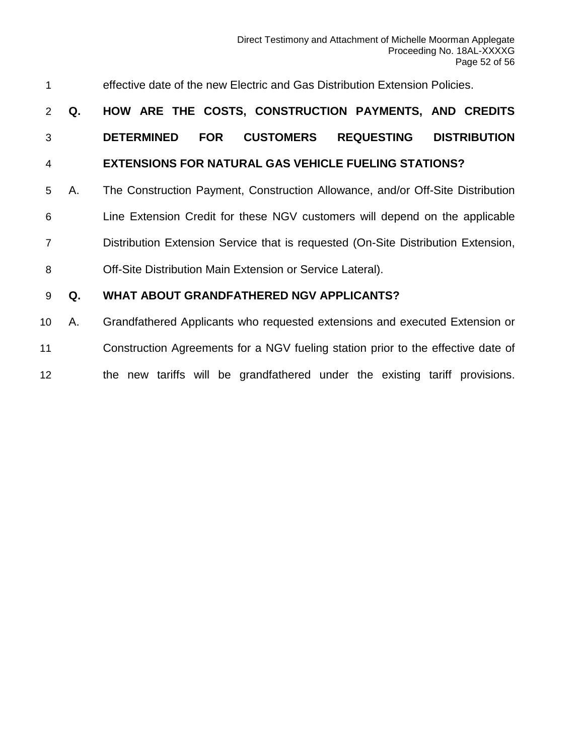| 1               |    | effective date of the new Electric and Gas Distribution Extension Policies.                     |
|-----------------|----|-------------------------------------------------------------------------------------------------|
| 2               | Q. | HOW ARE THE COSTS, CONSTRUCTION PAYMENTS, AND CREDITS                                           |
| 3               |    | <b>CUSTOMERS</b><br><b>REQUESTING</b><br><b>DISTRIBUTION</b><br><b>DETERMINED</b><br><b>FOR</b> |
| $\overline{4}$  |    | <b>EXTENSIONS FOR NATURAL GAS VEHICLE FUELING STATIONS?</b>                                     |
| 5               | А. | The Construction Payment, Construction Allowance, and/or Off-Site Distribution                  |
| 6               |    | Line Extension Credit for these NGV customers will depend on the applicable                     |
| $\overline{7}$  |    | Distribution Extension Service that is requested (On-Site Distribution Extension,               |
| 8               |    | Off-Site Distribution Main Extension or Service Lateral).                                       |
| 9               | Q. | WHAT ABOUT GRANDFATHERED NGV APPLICANTS?                                                        |
| 10 <sup>°</sup> | А. | Grandfathered Applicants who requested extensions and executed Extension or                     |
| 11              |    | Construction Agreements for a NGV fueling station prior to the effective date of                |

the new tariffs will be grandfathered under the existing tariff provisions.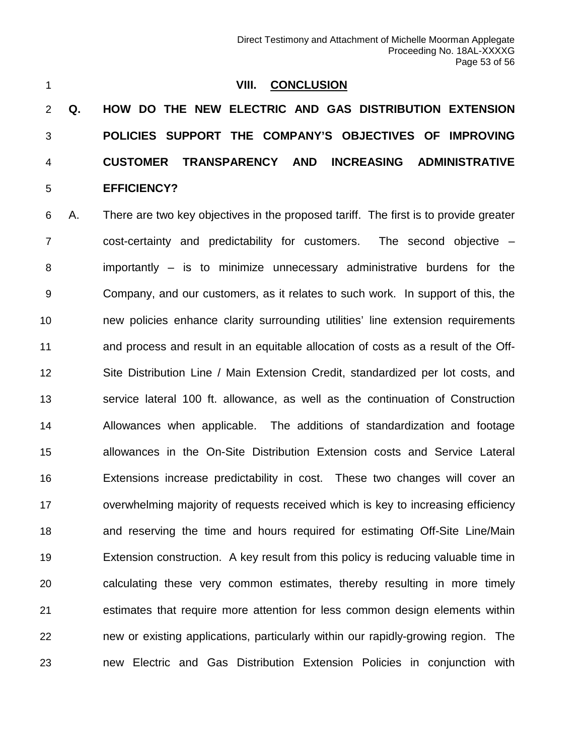<span id="page-52-0"></span>

#### **VIII. CONCLUSION**

 **Q. HOW DO THE NEW ELECTRIC AND GAS DISTRIBUTION EXTENSION POLICIES SUPPORT THE COMPANY'S OBJECTIVES OF IMPROVING CUSTOMER TRANSPARENCY AND INCREASING ADMINISTRATIVE EFFICIENCY?**

 A. There are two key objectives in the proposed tariff. The first is to provide greater cost-certainty and predictability for customers. The second objective – importantly – is to minimize unnecessary administrative burdens for the Company, and our customers, as it relates to such work. In support of this, the new policies enhance clarity surrounding utilities' line extension requirements and process and result in an equitable allocation of costs as a result of the Off- Site Distribution Line / Main Extension Credit, standardized per lot costs, and service lateral 100 ft. allowance, as well as the continuation of Construction Allowances when applicable. The additions of standardization and footage allowances in the On-Site Distribution Extension costs and Service Lateral Extensions increase predictability in cost. These two changes will cover an overwhelming majority of requests received which is key to increasing efficiency and reserving the time and hours required for estimating Off-Site Line/Main Extension construction. A key result from this policy is reducing valuable time in calculating these very common estimates, thereby resulting in more timely estimates that require more attention for less common design elements within new or existing applications, particularly within our rapidly-growing region. The new Electric and Gas Distribution Extension Policies in conjunction with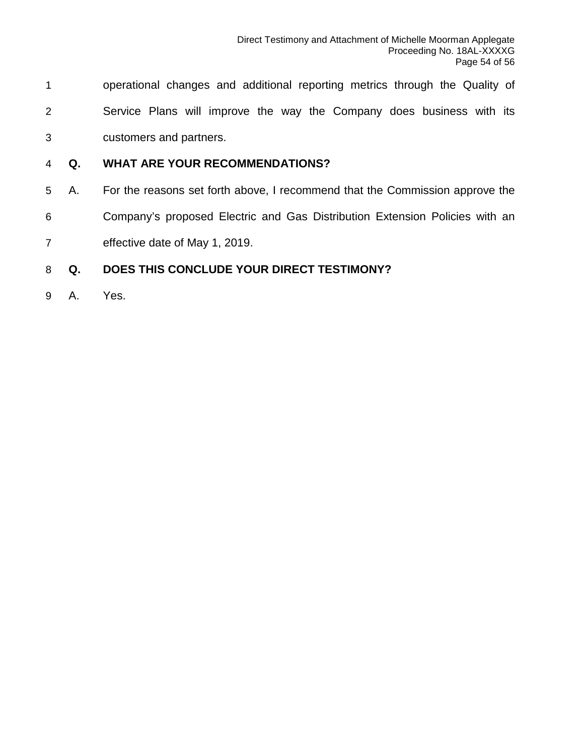- operational changes and additional reporting metrics through the Quality of Service Plans will improve the way the Company does business with its customers and partners.
- **Q. WHAT ARE YOUR RECOMMENDATIONS?**
- A. For the reasons set forth above, I recommend that the Commission approve the Company's proposed Electric and Gas Distribution Extension Policies with an effective date of May 1, 2019.

#### **Q. DOES THIS CONCLUDE YOUR DIRECT TESTIMONY?**

A. Yes.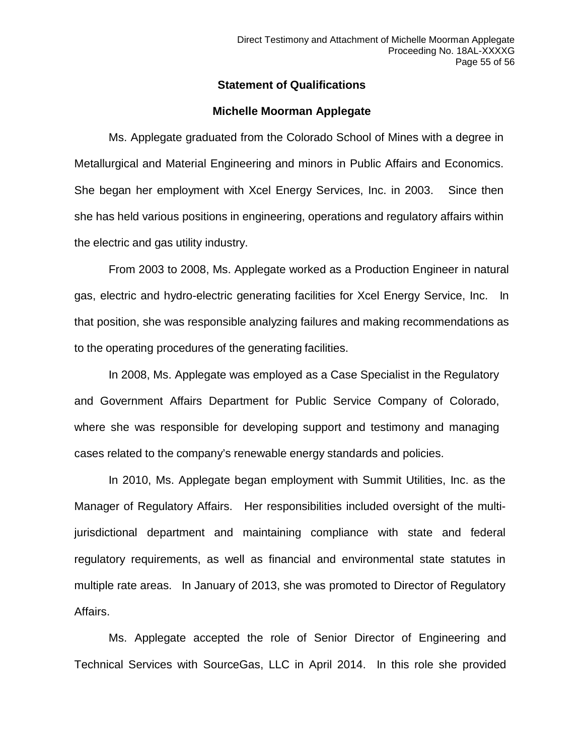#### **Statement of Qualifications**

#### **Michelle Moorman Applegate**

Ms. Applegate graduated from the Colorado School of Mines with a degree in Metallurgical and Material Engineering and minors in Public Affairs and Economics. She began her employment with Xcel Energy Services, Inc. in 2003. Since then she has held various positions in engineering, operations and regulatory affairs within the electric and gas utility industry.

From 2003 to 2008, Ms. Applegate worked as a Production Engineer in natural gas, electric and hydro-electric generating facilities for Xcel Energy Service, Inc. In that position, she was responsible analyzing failures and making recommendations as to the operating procedures of the generating facilities.

In 2008, Ms. Applegate was employed as a Case Specialist in the Regulatory and Government Affairs Department for Public Service Company of Colorado, where she was responsible for developing support and testimony and managing cases related to the company's renewable energy standards and policies.

In 2010, Ms. Applegate began employment with Summit Utilities, Inc. as the Manager of Regulatory Affairs. Her responsibilities included oversight of the multijurisdictional department and maintaining compliance with state and federal regulatory requirements, as well as financial and environmental state statutes in multiple rate areas. In January of 2013, she was promoted to Director of Regulatory Affairs.

Ms. Applegate accepted the role of Senior Director of Engineering and Technical Services with SourceGas, LLC in April 2014. In this role she provided